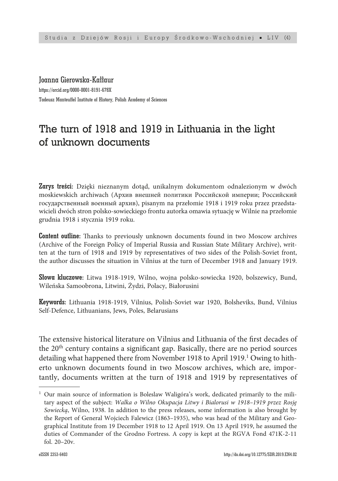#### Joanna Gierowska-Kałłaur

https://orcid.org/0000-0001-8191-678X Tadeusz Manteuffel Institute of History, Polish Academy of Sciences

# The turn of 1918 and 1919 in Lithuania in the light of unknown documents

Zarys treści: Dzięki nieznanym dotąd, unikalnym dokumentom odnalezionym w dwóch moskiewskich archiwach (Архив внешней политики Российской империи; Российский государственный военный архив), pisanym na przełomie 1918 i 1919 roku przez przedstawicieli dwóch stron polsko-sowieckiego frontu autorka omawia sytuację w Wilnie na przełomie grudnia 1918 i stycznia 1919 roku.

Content outline: Thanks to previously unknown documents found in two Moscow archives (Archive of the Foreign Policy of Imperial Russia and Russian State Military Archive), written at the turn of 1918 and 1919 by representatives of two sides of the Polish-Soviet front, the author discusses the situation in Vilnius at the turn of December 1918 and January 1919.

Słowa kluczowe: Litwa 1918-1919, Wilno, wojna polsko-sowiecka 1920, bolszewicy, Bund, Wileńska Samoobrona, Litwini, Żydzi, Polacy, Białorusini

Keywords: Lithuania 1918-1919, Vilnius, Polish-Soviet war 1920, Bolsheviks, Bund, Vilnius Self-Defence, Lithuanians, Jews, Poles, Belarusians

The extensive historical literature on Vilnius and Lithuania of the first decades of the 20<sup>th</sup> century contains a significant gap. Basically, there are no period sources detailing what happened there from November 1918 to April 1919.<sup>1</sup> Owing to hitherto unknown documents found in two Moscow archives, which are, importantly, documents written at the turn of 1918 and 1919 by representatives of

 $1$  Our main source of information is Boleslaw Waligóra's work, dedicated primarily to the military aspect of the subject: *Walka o Wilno Okupacja Litwy i Bialorusi w 1918–1919 przez Rosję Sowiecką*, Wilno, 1938. In addition to the press releases, some information is also brought by the Report of General Wojciech Falewicz (1863–1935), who was head of the Military and Geographical Institute from 19 December 1918 to 12 April 1919. On 13 April 1919, he assumed the duties of Commander of the Grodno Fortress. A copy is kept at the RGVA Fond 471K-2-11 fol. 20–20v.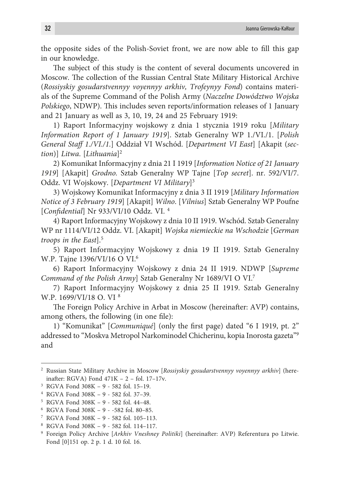the opposite sides of the Polish-Soviet front, we are now able to fill this gap in our knowledge.

The subject of this study is the content of several documents uncovered in Moscow. The collection of the Russian Central State Military Historical Archive (*Rossiyskiy gosudarstvennyy voyennyy arkhiv, Trofeynyy Fond*) contains materials of the Supreme Command of the Polish Army (*Naczelne Dowództwo Wojska Polskiego*, NDWP). This includes seven reports/information releases of 1 January and 21 January as well as 3, 10, 19, 24 and 25 February 1919:

1) Raport Informacyjny wojskowy z dnia 1 stycznia 1919 roku [*Military Information Report of 1 January 1919*]. Sztab Generalny WP 1./VI./1. [*Polish General Staff 1./VI./1.*] Oddział VI Wschód. [*Department VI East*] [Akapit (*section*)] *Litwa*. [*Lithuania*]2

2) Komunikat Informacyjny z dnia 21 I 1919 [*Information Notice of 21 January 1919*] [Akapit] *Grodno.* Sztab Generalny WP Tajne [*Top secret*]. nr. 592/VI/7. Oddz. VI Wojskowy. [*Department VI Military*]3

3) Wojskowy Komunikat Informacyjny z dnia 3 II 1919 [*Military Information Notice of 3 February 1919*] [Akapit] *Wilno*. [*Vilnius*] Sztab Generalny WP Poufne [*Confidential*] Nr 933/VI/10 Oddz. VI. 4

4) Raport Informacyjny Wojskowy z dnia 10 II 1919. Wschód. Sztab Generalny WP nr 1114/VI/12 Oddz. VI. [Akapit] *Wojska niemieckie na Wschodzie* [*German troops in the East*].5

5) Raport Informacyjny Wojskowy z dnia 19 II 1919. Sztab Generalny W.P. Tajne 1396/VI/16 O VI.6

6) Raport Informacyjny Wojskowy z dnia 24 II 1919. NDWP [*Supreme Command of the Polish Army*] Sztab Generalny Nr 1689/VI O VI.7

7) Raport Informacyjny Wojskowy z dnia 25 II 1919. Sztab Generalny W.P. 1699/VI/18 O. VI 8

The Foreign Policy Archive in Arbat in Moscow (hereinafter: AVP) contains, among others, the following (in one file):

1) "Komunikat" [*Communiqué*] (only the first page) dated "6 I 1919, pt. 2" addressed to "Moskva Metropol Narkominodel Chicherinu, kopia Inorosta gazeta"9 and

<sup>2</sup> Russian State Military Archive in Moscow [*Rossiyskiy gosudarstvennyy voyennyy arkhiv*] (hereinafter: RGVA) Fond 471K – 2 – fol. 17–17v.

<sup>3</sup> RGVA Fond 308K – 9 - 582 fol. 15–19.

<sup>4</sup> RGVA Fond 308K – 9 - 582 fol. 37–39.

<sup>5</sup> RGVA Fond 308K – 9 - 582 fol. 44–48.

<sup>6</sup> RGVA Fond 308K – 9 - -582 fol. 80–85.

<sup>7</sup> RGVA Fond 308K – 9 - 582 fol. 105–113.

<sup>8</sup> RGVA Fond 308K – 9 - 582 fol. 114–117.

<sup>9</sup> Foreign Policy Archive [*Arkhiv Vneshney Politiki*] (hereinafter: AVP) Referentura po Litwie. Fond [0]151 op. 2 p. 1 d. 10 fol. 16.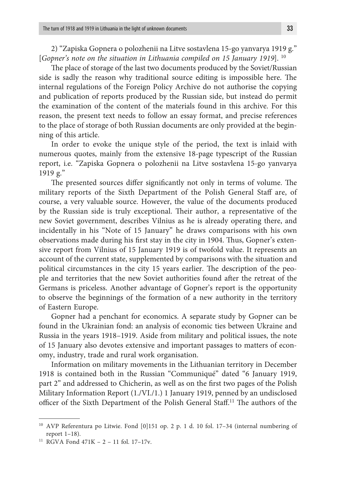2) "Zapiska Gopnera o polozhenii na Litve sostavlena 15-go yanvarya 1919 g." [*Gopner's note on the situation in Lithuania compiled on 15 January 1919*]. 10

The place of storage of the last two documents produced by the Soviet/Russian side is sadly the reason why traditional source editing is impossible here. The internal regulations of the Foreign Policy Archive do not authorise the copying and publication of reports produced by the Russian side, but instead do permit the examination of the content of the materials found in this archive. For this reason, the present text needs to follow an essay format, and precise references to the place of storage of both Russian documents are only provided at the beginning of this article.

In order to evoke the unique style of the period, the text is inlaid with numerous quotes, mainly from the extensive 18-page typescript of the Russian report, i.e. "Zapiska Gopnera o polozhenii na Litve sostavlena 15-go yanvarya 1919 g."

The presented sources differ significantly not only in terms of volume. The military reports of the Sixth Department of the Polish General Staff are, of course, a very valuable source. However, the value of the documents produced by the Russian side is truly exceptional. Their author, a representative of the new Soviet government, describes Vilnius as he is already operating there, and incidentally in his "Note of 15 January" he draws comparisons with his own observations made during his first stay in the city in 1904. Thus, Gopner's extensive report from Vilnius of 15 January 1919 is of twofold value. It represents an account of the current state, supplemented by comparisons with the situation and political circumstances in the city 15 years earlier. The description of the people and territories that the new Soviet authorities found after the retreat of the Germans is priceless. Another advantage of Gopner's report is the opportunity to observe the beginnings of the formation of a new authority in the territory of Eastern Europe.

Gopner had a penchant for economics. A separate study by Gopner can be found in the Ukrainian fond: an analysis of economic ties between Ukraine and Russia in the years 1918–1919. Aside from military and political issues, the note of 15 January also devotes extensive and important passages to matters of economy, industry, trade and rural work organisation.

Information on military movements in the Lithuanian territory in December 1918 is contained both in the Russian "Communiqué" dated "6 January 1919, part 2" and addressed to Chicherin, as well as on the first two pages of the Polish Military Information Report (1./VI./1.) 1 January 1919, penned by an undisclosed officer of the Sixth Department of the Polish General Staff.11 The authors of the

<sup>10</sup> AVP Referentura po Litwie. Fond [0]151 op. 2 p. 1 d. 10 fol. 17–34 (internal numbering of report 1–18).

<sup>11</sup> RGVA Fond 471K – 2 – 11 fol. 17–17v.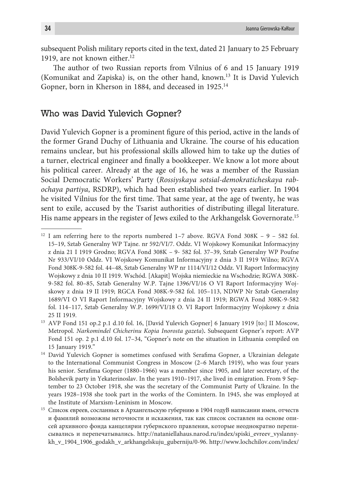subsequent Polish military reports cited in the text, dated 21 January to 25 February 1919, are not known either.<sup>12</sup>

The author of two Russian reports from Vilnius of 6 and 15 January 1919 (Komunikat and Zapiska) is, on the other hand, known.13 It is David Yulevich Gopner, born in Kherson in 1884, and deceased in 1925.<sup>14</sup>

#### Who was David Yulevich Gopner?

David Yulevich Gopner is a prominent figure of this period, active in the lands of the former Grand Duchy of Lithuania and Ukraine. The course of his education remains unclear, but his professional skills allowed him to take up the duties of a turner, electrical engineer and finally a bookkeeper. We know a lot more about his political career. Already at the age of 16, he was a member of the Russian Social Democratic Workers' Party (*Rossiyskaya sotsial-demokraticheskaya rabochaya partiya*, RSDRP), which had been established two years earlier. In 1904 he visited Vilnius for the first time. That same year, at the age of twenty, he was sent to exile, accused by the Tsarist authorities of distributing illegal literature. His name appears in the register of Jews exiled to the Arkhangelsk Governorate.15

<sup>&</sup>lt;sup>12</sup> I am referring here to the reports numbered  $1-7$  above. RGVA Fond  $308K - 9 - 582$  fol. 15–19, Sztab Generalny WP Tajne. nr 592/VI/7. Oddz. VI Wojskowy Komunikat Informacyjny z dnia 21 I 1919 Grodno; RGVA Fond 308K – 9- 582 fol. 37–39, Sztab Generalny WP Poufne Nr 933/VI/10 Oddz. VI Wojskowy Komunikat Informacyjny z dnia 3 II 1919 Wilno; RGVA Fond 308K-9-582 fol. 44–48, Sztab Generalny WP nr 1114/VI/12 Oddz. VI Raport Informacyjny Wojskowy z dnia 10 II 1919. Wschód. [Akapit] Wojska niemieckie na Wschodzie; RGWA 308K-9-582 fol. 80–85, Sztab Generalny W.P. Tajne 1396/VI/16 O VI Raport Informacyjny Wojskowy z dnia 19 II 1919; RGCA Fond 308K-9-582 fol. 105–113, NDWP Nr Sztab Generalny 1689/VI O VI Raport Informacyjny Wojskowy z dnia 24 II 1919; RGWA Fond 308K-9-582 fol. 114–117, Sztab Generalny W.P. 1699/VI/18 O. VI Raport Informacyjny Wojskowy z dnia 25 II 1919.

<sup>13</sup> AVP Fond 151 op.2 p.1 d.10 fol. 16, [David Yulevich Gopner] 6 January 1919 [to:] II Moscow, Metropol. *Narkomindel Chicherinu Kopia Inorosta gazeta*)**.** Subsequent Gopner's report: AVP Fond 151 op. 2 p.1 d.10 fol. 17–34, "Gopner's note on the situation in Lithuania compiled on 15 January 1919."

<sup>&</sup>lt;sup>14</sup> David Yulevich Gopner is sometimes confused with Serafima Gopner, a Ukrainian delegate to the International Communist Congress in Moscow (2–6 March 1919), who was four years his senior. Serafima Gopner (1880–1966) was a member since 1905, and later secretary, of the Bolshevik party in Yekaterinoslav. In the years 1910–1917, she lived in emigration. From 9 September to 23 October 1918, she was the secretary of the Communist Party of Ukraine. In the years 1928–1938 she took part in the works of the Comintern. In 1945, she was employed at the Institute of Marxism-Leninism in Moscow.

<sup>15</sup> Список евреев, сосланных в Архангельскую губернию в 1904 годуВ написании имен, отчеств и фамилий возможны неточности и искажения, так как список составлен на основе описей архивного фонда канцелярии губернского правления, которые неоднократно переписывались и перепечатывались. http://nataniellahaus.narod.ru/index/spiski\_evreev\_vyslannykh\_v\_1904\_1906\_godakh\_v\_arkhangelskuju\_guberniju/0-96. http://www.lochchilov.com/index/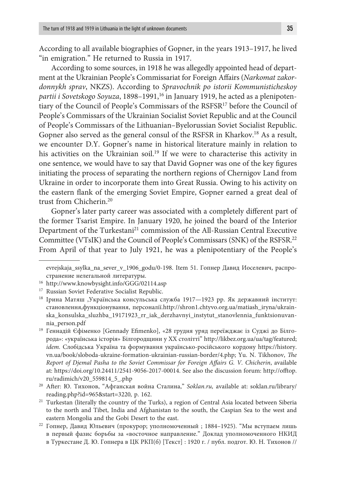According to all available biographies of Gopner, in the years 1913–1917, he lived "in emigration." He returned to Russia in 1917.

According to some sources, in 1918 he was allegedly appointed head of department at the Ukrainian People's Commissariat for Foreign Affairs (*Narkomat zakordonnykh sprav*, NKZS). According to *Spravochnik po istorii Kommunisticheskoy*  partii i Sovetskogo Soyuza, 1898–1991,<sup>16</sup> in January 1919, he acted as a plenipotentiary of the Council of People's Commissars of the RSFSR17 before the Council of People's Commissars of the Ukrainian Socialist Soviet Republic and at the Council of People's Commissars of the Lithuanian–Byelorussian Soviet Socialist Republic. Gopner also served as the general consul of the RSFSR in Kharkov.<sup>18</sup> As a result, we encounter D.Y. Gopner's name in historical literature mainly in relation to his activities on the Ukrainian soil.<sup>19</sup> If we were to characterise this activity in one sentence, we would have to say that David Gopner was one of the key figures initiating the process of separating the northern regions of Chernigov Land from Ukraine in order to incorporate them into Great Russia. Owing to his activity on the eastern flank of the emerging Soviet Empire, Gopner earned a great deal of trust from Chicherin.20

Gopner's later party career was associated with a completely different part of the former Tsarist Empire. In January 1920, he joined the board of the Interior Department of the Turkestani<sup>21</sup> commission of the All-Russian Central Executive Committee (VTsIK) and the Council of People's Commissars (SNK) of the RSFSR.22 From April of that year to July 1921, he was a plenipotentiary of the People's

evrejskaja\_ssylka\_na\_sever\_v\_1906\_godu/0-198. Item 51. Гопнер Давид Иоселевич, распространение нелегальной литературы.

<sup>16</sup> http://www.knowbysight.info/GGG/02114.asp

<sup>&</sup>lt;sup>17</sup> Russian Soviet Federative Socialist Republic.

<sup>&</sup>lt;sup>18</sup> Ірина Матяш ,Українська консульська служба 1917—1923 рр. Як державний інститут: становлення,функціонування, персоналії.http://shron1.chtyvo.org.ua/matiash\_iryna/ukrainska\_konsulska\_sluzhba\_19171923\_rr\_iak\_derzhavnyi\_instytut\_stanovlennia\_funktsionuvannia\_person.pdf

<sup>&</sup>lt;sup>19</sup> Геннадій Єфіменко [Gennady Efimenko], «28 грудня уряд переїжджає із Суджі до Білгорода»: «українська історія» Білгородщини у ХХ столітті" http://likbez.org.ua/ua/tag/featured; *idem.* Слобідська Україна та формування українсько-російського кордону https://history. vn.ua/book/sloboda-ukraine-formation-ukrainian-russian-border/4.php; Yu. N. Tikhonov, *The Report of Djemal Pasha to the Soviet Commissar for Foreign Affairs G. V. Chicherin*, available at: https://doi.org/10.24411/2541-9056-2017-00014. See also the discussion forum: http://offtop. ru/radimich/v20\_559814\_5\_.php

<sup>20</sup> After: Ю. Тихонов, "Афганская война Сталина," *Soklan.ru,* available at: soklan.ru/library/ reading.php?id=965&start=3220*,* p. 162.

<sup>21</sup> Turkestan (literally the country of the Turks), a region of Central Asia located between Siberia to the north and Tibet, India and Afghanistan to the south, the Caspian Sea to the west and eastern Mongolia and the Gobi Desert to the east.

<sup>22</sup> Гопнер, Давид Юльевич (прокурор; уполномоченный ; 1884–1925). "Мы вступаем лишь в первый фазис борьбы за «восточное направление." Доклад уполномоченного НКИД в Туркестане Д. Ю. Гопнера в ЦК РКП(б) [Текст] : 1920 г. / публ. подгот. Ю. Н. Тихонов //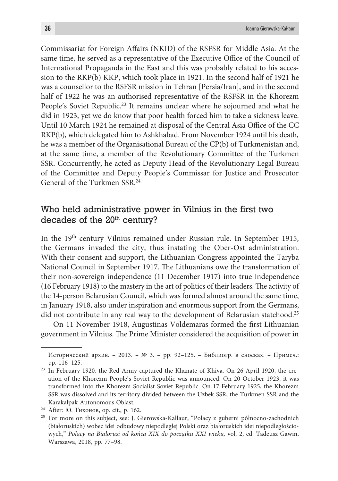Commissariat for Foreign Affairs (NKID) of the RSFSR for Middle Asia. At the same time, he served as a representative of the Executive Office of the Council of International Propaganda in the East and this was probably related to his accession to the RKP(b) KKP, which took place in 1921. In the second half of 1921 he was a counsellor to the RSFSR mission in Tehran [Persia/Iran], and in the second half of 1922 he was an authorised representative of the RSFSR in the Khorezm People's Soviet Republic.23 It remains unclear where he sojourned and what he did in 1923, yet we do know that poor health forced him to take a sickness leave. Until 10 March 1924 he remained at disposal of the Central Asia Office of the CC RKP(b), which delegated him to Ashkhabad. From November 1924 until his death, he was a member of the Organisational Bureau of the CP(b) of Turkmenistan and, at the same time, a member of the Revolutionary Committee of the Turkmen SSR. Concurrently, he acted as Deputy Head of the Revolutionary Legal Bureau of the Committee and Deputy People's Commissar for Justice and Prosecutor General of the Turkmen SSR.24

# Who held administrative power in Vilnius in the first two decades of the  $20<sup>th</sup>$  century?

In the 19<sup>th</sup> century Vilnius remained under Russian rule. In September 1915, the Germans invaded the city, thus instating the Ober-Ost administration. With their consent and support, the Lithuanian Congress appointed the Taryba National Council in September 1917. The Lithuanians owe the transformation of their non-sovereign independence (11 December 1917) into true independence (16 February 1918) to the mastery in the art of politics of their leaders. The activity of the 14-person Belarusian Council, which was formed almost around the same time, in January 1918, also under inspiration and enormous support from the Germans, did not contribute in any real way to the development of Belarusian statehood.<sup>25</sup>

On 11 November 1918, Augustinas Voldemaras formed the first Lithuanian government in Vilnius. The Prime Minister considered the acquisition of power in

Исторический архив. – 2013. – № 3. – pp. 92–125. – Библиогр. в сносках. – Примеч.: pp. 116–125.

<sup>&</sup>lt;sup>23</sup> In February 1920, the Red Army captured the Khanate of Khiva. On 26 April 1920, the creation of the Khorezm People's Soviet Republic was announced. On 20 October 1923, it was transformed into the Khorezm Socialist Soviet Republic. On 17 February 1925, the Khorezm SSR was dissolved and its territory divided between the Uzbek SSR, the Turkmen SSR and the Karakalpak Autonomous Oblast.

<sup>24</sup> After: Ю. Тихонов, op. cit., p. 162.

<sup>25</sup> For more on this subject, see: J. Gierowska-Kałłaur, "Polacy z guberni północno-zachodnich (białoruskich) wobec idei odbudowy niepodległej Polski oraz białoruskich idei niepodległościowych," *Polacy na Białorusi od końca XIX do początku XXI wieku,* vol. 2, ed. Tadeusz Gawin, Warszawa, 2018, pp. 77–98.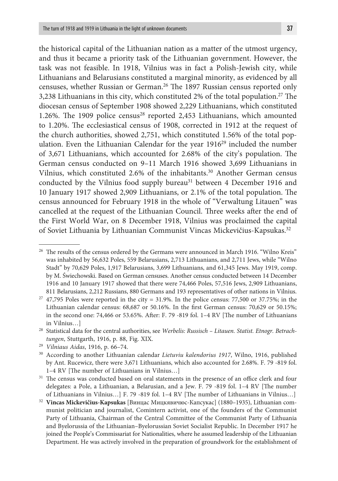the historical capital of the Lithuanian nation as a matter of the utmost urgency, and thus it became a priority task of the Lithuanian government. However, the task was not feasible. In 1918, Vilnius was in fact a Polish-Jewish city, while Lithuanians and Belarusians constituted a marginal minority, as evidenced by all censuses, whether Russian or German.26 The 1897 Russian census reported only 3,238 Lithuanians in this city, which constituted 2% of the total population.<sup>27</sup> The diocesan census of September 1908 showed 2,229 Lithuanians, which constituted 1.26%. The 1909 police census<sup>28</sup> reported 2,453 Lithuanians, which amounted to 1.20%. The ecclesiastical census of 1908, corrected in 1912 at the request of the church authorities, showed 2,751, which constituted 1.56% of the total population. Even the Lithuanian Calendar for the year 1916<sup>29</sup> included the number of 3,671 Lithuanians, which accounted for 2.68% of the city's population. The German census conducted on 9–11 March 1916 showed 3,699 Lithuanians in Vilnius, which constituted 2.6% of the inhabitants.30 Another German census conducted by the Vilnius food supply bureau<sup>31</sup> between 4 December 1916 and 10 January 1917 showed 2,909 Lithuanians, or 2.1% of the total population. The census announced for February 1918 in the whole of "Verwaltung Litauen" was cancelled at the request of the Lithuanian Council. Three weeks after the end of the First World War, on 8 December 1918, Vilnius was proclaimed the capital of Soviet Lithuania by Lithuanian Communist Vincas Mickevičius-Kapsukas.32

<sup>&</sup>lt;sup>26</sup> The results of the census ordered by the Germans were announced in March 1916. "Wilno Kreis" was inhabited by 56,632 Poles, 559 Belarusians, 2,713 Lithuanians, and 2,711 Jews, while "Wilno Stadt" by 70,629 Poles, 1,917 Belarusians, 3,699 Lithuanians, and 61,345 Jews. May 1919, comp. by M. Świechowski. Based on German censuses. Another census conducted between 14 December 1916 and 10 January 1917 showed that there were 74,466 Poles, 57,516 Jews, 2,909 Lithuanians, 811 Belarusians, 2,212 Russians, 880 Germans and 193 representatives of other nations in Vilnius.

 $27$  47,795 Poles were reported in the city = 31.9%. In the police census: 77,500 or 37.75%; in the Lithuanian calendar census: 68,687 or 50.16%. In the first German census: 70,629 or 50.15%; in the second one: 74,466 or 53.65%. After: F. 79 -819 fol. 1–4 RV [The number of Lithuanians in Vilnius…]

<sup>28</sup> Statistical data for the central authorities, see *Werbelis: Russisch – Litauen. Statist. Etnogr. Betrachtungen*, Stuttgarth, 1916, p. 88, Fig. XIX.

<sup>29</sup> *Vilniaus Aidas*, 1916, p. 66–74.

<sup>30</sup> According to another Lithuanian calendar *Lietuviu kalendorius 1917*, Wilno, 1916, published by Ant. Rucewicz, there were 3,671 Lithuanians, which also accounted for 2.68%. F. 79 -819 fol. 1–4 RV [The number of Lithuanians in Vilnius…]

<sup>&</sup>lt;sup>31</sup> The census was conducted based on oral statements in the presence of an office clerk and four delegates: a Pole, a Lithuanian, a Belarusian, and a Jew. F. 79 -819 fol. 1–4 RV [The number of Lithuanians in Vilnius…] F. 79 -819 fol. 1–4 RV [The number of Lithuanians in Vilnius…]

<sup>32</sup> **Vincas Mickevičius-Kapsukas** [Винцас Мицкявичюс-Капсукас] (1880–1935), Lithuanian communist politician and journalist, Comintern activist, one of the founders of the Communist Party of Lithuania, Chairman of the Central Committee of the Communist Party of Lithuania and Byelorussia of the Lithuanian–Byelorussian Soviet Socialist Republic. In December 1917 he joined the People's Commissariat for Nationalities, where he assumed leadership of the Lithuanian Department. He was actively involved in the preparation of groundwork for the establishment of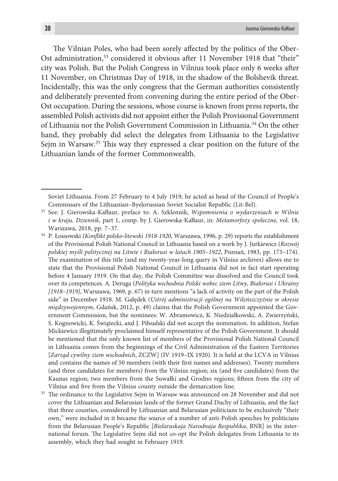The Vilnian Poles, who had been sorely affected by the politics of the Ober-Ost administration,<sup>33</sup> considered it obvious after 11 November 1918 that "their" city was Polish. But the Polish Congress in Vilnius took place only 6 weeks after 11 November, on Christmas Day of 1918, in the shadow of the Bolshevik threat. Incidentally, this was the only congress that the German authorities consistently and deliberately prevented from convening during the entire period of the Ober-Ost occupation. During the sessions, whose course is known from press reports, the assembled Polish activists did not appoint either the Polish Provisional Government of Lithuania nor the Polish Government Commission in Lithuania.34 On the other hand, they probably did select the delegates from Lithuania to the Legislative Sejm in Warsaw.35 This way they expressed a clear position on the future of the Lithuanian lands of the former Commonwealth.

Soviet Lithuania. From 27 February to 4 July 1919, he acted as head of the Council of People's Commissars of the Lithuanian–Byelorussian Soviet Socialist Republic (Lit-Bel).

<sup>33</sup> See: J. Gierowska-Kałłaur, preface to: A. Szklennik, *Wspomnienia o wydarzeniach w Wilnie i w kraju. Dziennik*, part 1, comp. by J. Gierowska-Kałłaur, in: *Metamorfozy społeczne*, vol. 18, Warszawa, 2018, pp. 7–37.

<sup>34</sup> P. Łossowski (*Konflikt polsko-litewski 1918-1920*, Warszawa, 1996, p. 29) reports the establishment of the Provisional Polish National Council in Lithuania based on a work by J. Jurkiewicz (*Rozwój polskiej myśli politycznej na Litwie i Białorusi w latach 1905–1922*, Poznań, 1983, pp. 173–174). The examination of this title (and my twenty-year-long query in Vilnius archives) allows me to state that the Provisional Polish National Council in Lithuania did not in fact start operating before 4 January 1919. On that day, the Polish Committee was dissolved and the Council took over its competences. A. Deruga (*Polityka wschodnia Polski wobec ziem Litwy, Białorusi i Ukrainy [1918–1919]*, Warszawa, 1969, p. 67) in turn mentions "a lack of activity on the part of the Polish side" in December 1918. M. Gałędek (*Ustrój administracji ogólnej na Wileńszczyźnie w okresie międzywojennym*, Gdańsk, 2012, p. 49) claims that the Polish Government appointed the Government Commission, but the nominees: W. Abramowicz, K. Niedziałkowski, A. Zwierzyński, S. Kognowicki, K. Świątecki, and J. Piłsudski did not accept the nomination. In addition, Stefan Mickiewicz illegitimately proclaimed himself representative of the Polish Government. It should be mentioned that the only known list of members of the Provisional Polish National Council in Lithuania comes from the beginnings of the Civil Administration of the Eastern Territories [*Zarząd cywilny ziem wschodnich*, ZCZW] (IV 1919–IX 1920). It is held at the LCVA in Vilnius and contains the names of 50 members (with their first names and addresses). Twenty members (and three candidates for members) from the Vilnius region; six (and five candidates) from the Kaunas region; two members from the Suwałki and Grodno regions; fifteen from the city of Vilnius and five from the Vilnius county outside the demarcation line.

<sup>&</sup>lt;sup>35</sup> The ordinance to the Legislative Sejm in Warsaw was announced on 28 November and did not cover the Lithuanian and Belarusian lands of the former Grand Duchy of Lithuania, and the fact that three counties, considered by Lithuanian and Belarusian politicians to be exclusively "their own," were included in it became the source of a number of anti-Polish speeches by politicians from the Belarusian People's Republic [*Bielaruskaja Narodnaja Respublika*, BNR] in the international forum. The Legislative Sejm did not co-opt the Polish delegates from Lithuania to its assembly, which they had sought in February 1919.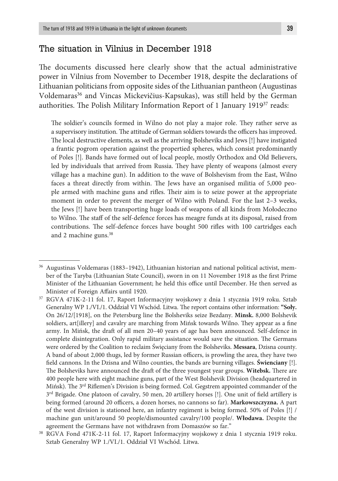### The situation in Vilnius in December 1918

The documents discussed here clearly show that the actual administrative power in Vilnius from November to December 1918, despite the declarations of Lithuanian politicians from opposite sides of the Lithuanian pantheon (Augustinas Voldemaras<sup>36</sup> and Vincas Mickevičius-Kapsukas), was still held by the German authorities. The Polish Military Information Report of 1 January 1919<sup>37</sup> reads:

The soldier's councils formed in Wilno do not play a major role. They rather serve as a supervisory institution. The attitude of German soldiers towards the officers has improved. The local destructive elements, as well as the arriving Bolsheviks and Jews [!] have instigated a frantic pogrom operation against the propertied spheres, which consist predominantly of Poles [!]. Bands have formed out of local people, mostly Orthodox and Old Believers, led by individuals that arrived from Russia. They have plenty of weapons (almost every village has a machine gun). In addition to the wave of Bolshevism from the East, Wilno faces a threat directly from within. The Jews have an organised militia of 5,000 people armed with machine guns and rifles. Their aim is to seize power at the appropriate moment in order to prevent the merger of Wilno with Poland. For the last 2–3 weeks, the Jews [!] have been transporting huge loads of weapons of all kinds from Mołodeczno to Wilno. The staff of the self-defence forces has meagre funds at its disposal, raised from contributions. The self-defence forces have bought 500 rifles with 100 cartridges each and 2 machine guns.38

<sup>36</sup> Augustinas Voldemaras (1883–1942), Lithuanian historian and national political activist, member of the Taryba (Lithuanian State Council), sworn in on 11 November 1918 as the first Prime Minister of the Lithuanian Government; he held this office until December. He then served as Minister of Foreign Affairs until 1920.

<sup>37</sup> RGVA 471K-2-11 fol. 17, Raport Informacyjny wojskowy z dnia 1 stycznia 1919 roku. Sztab Generalny WP 1./VI./1. Oddział VI Wschód. Litwa. The report contains other information: **"Soły.** On 26/12/[1918], on the Petersburg line the Bolsheviks seize Bezdany. **Minsk.** 8,000 Bolshevik soldiers, art[illery] and cavalry are marching from Mińsk towards Wilno. They appear as a fine army. In Mińsk, the draft of all men 20–40 years of age has been announced. Self-defence in complete disintegration. Only rapid military assistance would save the situation. The Germans were ordered by the Coalition to reclaim Święciany from the Bolsheviks. **Messara**, Dzisna county. A band of about 2,000 thugs, led by former Russian officers, is prowling the area, they have two field cannons. In the Dzisna and Wilno counties, the bands are burning villages. **Świenciany** [!]. The Bolsheviks have announced the draft of the three youngest year groups. **Witebsk.** There are 400 people here with eight machine guns, part of the West Bolshevik Division (headquartered in Mińsk). The 3rd Riflemen's Division is being formed. Col. Gegstrem appointed commander of the  $3<sup>rd</sup>$  Brigade. One platoon of cavalry, 50 men, 20 artillery horses [!]. One unit of field artillery is being formed (around 20 officers, a dozen horses, no cannons so far). **Markowszczyzna.** A part of the west division is stationed here, an infantry regiment is being formed. 50% of Poles [!] / machine gun unit/around 50 people/dismounted cavalry/100 people/. **Włodawa.** Despite the agreement the Germans have not withdrawn from Domaszów so far."

<sup>38</sup> RGVA Fond 471K-2-11 fol. 17, Raport Informacyjny wojskowy z dnia 1 stycznia 1919 roku. Sztab Generalny WP 1./VI./1. Oddział VI Wschód. Litwa.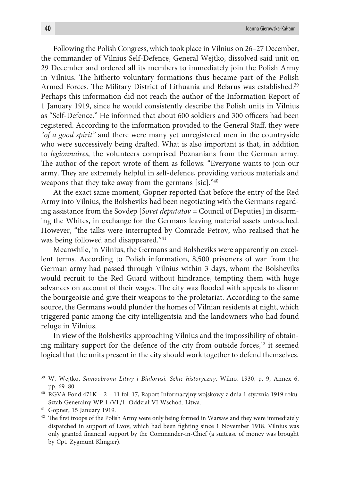Following the Polish Congress, which took place in Vilnius on 26–27 December, the commander of Vilnius Self-Defence, General Wejtko, dissolved said unit on 29 December and ordered all its members to immediately join the Polish Army in Vilnius. The hitherto voluntary formations thus became part of the Polish Armed Forces. The Military District of Lithuania and Belarus was established.39 Perhaps this information did not reach the author of the Information Report of 1 January 1919, since he would consistently describe the Polish units in Vilnius as "Self-Defence." He informed that about 600 soldiers and 300 officers had been registered. According to the information provided to the General Staff, they were *"of a good spirit"* and there were many yet unregistered men in the countryside who were successively being drafted. What is also important is that, in addition to *legionnaires*, the volunteers comprised Poznanians from the German army. The author of the report wrote of them as follows: "Everyone wants to join our army. They are extremely helpful in self-defence, providing various materials and weapons that they take away from the germans [sic]."40

At the exact same moment, Gopner reported that before the entry of the Red Army into Vilnius, the Bolsheviks had been negotiating with the Germans regarding assistance from the Sovdep [*Sovet deputatov* = Council of Deputies] in disarming the Whites, in exchange for the Germans leaving material assets untouched. However, "the talks were interrupted by Comrade Petrov, who realised that he was being followed and disappeared."41

Meanwhile, in Vilnius, the Germans and Bolsheviks were apparently on excellent terms. According to Polish information, 8,500 prisoners of war from the German army had passed through Vilnius within 3 days, whom the Bolsheviks would recruit to the Red Guard without hindrance, tempting them with huge advances on account of their wages. The city was flooded with appeals to disarm the bourgeoisie and give their weapons to the proletariat. According to the same source, the Germans would plunder the homes of Vilnian residents at night, which triggered panic among the city intelligentsia and the landowners who had found refuge in Vilnius.

In view of the Bolsheviks approaching Vilnius and the impossibility of obtaining military support for the defence of the city from outside forces, $42$  it seemed logical that the units present in the city should work together to defend themselves.

<sup>39</sup> W. Wejtko, *Samoobrona Litwy i Białorusi. Szkic historyczny*, Wilno, 1930, p. 9, Annex 6, pp. 69–80.

<sup>40</sup> RGVA Fond 471K – 2 – 11 fol. 17, Raport Informacyjny wojskowy z dnia 1 stycznia 1919 roku. Sztab Generalny WP 1./VI./1. Oddział VI Wschód. Litwa.

<sup>41</sup> Gopner, 15 January 1919.

<sup>&</sup>lt;sup>42</sup> The first troops of the Polish Army were only being formed in Warsaw and they were immediately dispatched in support of Lvov, which had been fighting since 1 November 1918. Vilnius was only granted financial support by the Commander-in-Chief (a suitcase of money was brought by Cpt. Zygmunt Klingier).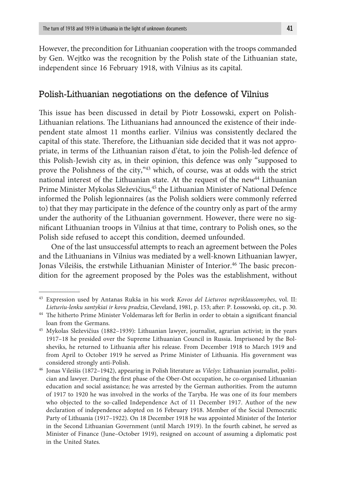However, the precondition for Lithuanian cooperation with the troops commanded by Gen. Wejtko was the recognition by the Polish state of the Lithuanian state, independent since 16 February 1918, with Vilnius as its capital.

### Polish-Lithuanian negotiations on the defence of Vilnius

This issue has been discussed in detail by Piotr Łossowski, expert on Polish-Lithuanian relations. The Lithuanians had announced the existence of their independent state almost 11 months earlier. Vilnius was consistently declared the capital of this state. Therefore, the Lithuanian side decided that it was not appropriate, in terms of the Lithuanian raison d'état, to join the Polish-led defence of this Polish-Jewish city as, in their opinion, this defence was only "supposed to prove the Polishness of the city,"43 which, of course, was at odds with the strict national interest of the Lithuanian state. At the request of the new44 Lithuanian Prime Minister Mykolas Sleževičius,<sup>45</sup> the Lithuanian Minister of National Defence informed the Polish legionnaires (as the Polish soldiers were commonly referred to) that they may participate in the defence of the country only as part of the army under the authority of the Lithuanian government. However, there were no significant Lithuanian troops in Vilnius at that time, contrary to Polish ones, so the Polish side refused to accept this condition, deemed unfounded.

One of the last unsuccessful attempts to reach an agreement between the Poles and the Lithuanians in Vilnius was mediated by a well-known Lithuanian lawyer, Jonas Vileišis, the erstwhile Lithuanian Minister of Interior.46 The basic precondition for the agreement proposed by the Poles was the establishment, without

<sup>43</sup> Expression used by Antanas Rukša in his work *Kovos del Lietuvos nepriklausomybes*, vol. II: *Lietuviu-lenku santykiai ir kovu pradzia*, Cleveland, 1981, p. 153; after: P. Łossowski, op. cit., p. 30.

<sup>44</sup> The hitherto Prime Minister Voldemaras left for Berlin in order to obtain a significant financial loan from the Germans.

<sup>45</sup> Mykolas Sleževičius (1882–1939): Lithuanian lawyer, journalist, agrarian activist; in the years 1917–18 he presided over the Supreme Lithuanian Council in Russia. Imprisoned by the Bolsheviks, he returned to Lithuania after his release. From December 1918 to March 1919 and from April to October 1919 he served as Prime Minister of Lithuania. His government was

considered strongly anti-Polish. 46 Jonas Vileišis (1872–1942), appearing in Polish literature as *Vilešys*: Lithuanian journalist, politician and lawyer. During the first phase of the Ober-Ost occupation, he co-organised Lithuanian education and social assistance; he was arrested by the German authorities. From the autumn of 1917 to 1920 he was involved in the works of the Taryba. He was one of its four members who objected to the so-called Independence Act of 11 December 1917. Author of the new declaration of independence adopted on 16 February 1918. Member of the Social Democratic Party of Lithuania (1917–1922). On 18 December 1918 he was appointed Minister of the Interior in the Second Lithuanian Government (until March 1919). In the fourth cabinet, he served as Minister of Finance (June–October 1919), resigned on account of assuming a diplomatic post in the United States.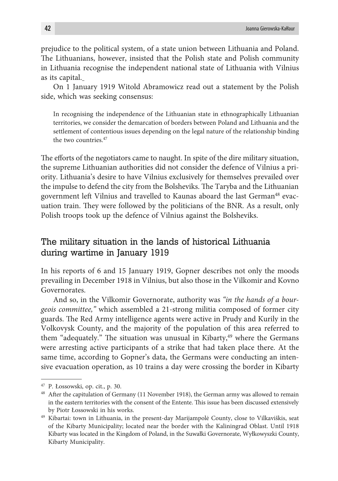prejudice to the political system, of a state union between Lithuania and Poland. The Lithuanians, however, insisted that the Polish state and Polish community in Lithuania recognise the independent national state of Lithuania with Vilnius as its capital.

On 1 January 1919 Witold Abramowicz read out a statement by the Polish side, which was seeking consensus:

In recognising the independence of the Lithuanian state in ethnographically Lithuanian territories, we consider the demarcation of borders between Poland and Lithuania and the settlement of contentious issues depending on the legal nature of the relationship binding the two countries.<sup>47</sup>

The efforts of the negotiators came to naught. In spite of the dire military situation, the supreme Lithuanian authorities did not consider the defence of Vilnius a priority. Lithuania's desire to have Vilnius exclusively for themselves prevailed over the impulse to defend the city from the Bolsheviks. The Taryba and the Lithuanian government left Vilnius and travelled to Kaunas aboard the last German<sup>48</sup> evacuation train. They were followed by the politicians of the BNR. As a result, only Polish troops took up the defence of Vilnius against the Bolsheviks.

# The military situation in the lands of historical Lithuania during wartime in January 1919

In his reports of 6 and 15 January 1919, Gopner describes not only the moods prevailing in December 1918 in Vilnius, but also those in the Vilkomir and Kovno Governorates.

And so, in the Vilkomir Governorate, authority was *"in the hands of a bourgeois committee,"* which assembled a 21-strong militia composed of former city guards. The Red Army intelligence agents were active in Prudy and Kurily in the Volkovysk County, and the majority of the population of this area referred to them "adequately." The situation was unusual in Kibarty, $49$  where the Germans were arresting active participants of a strike that had taken place there. At the same time, according to Gopner's data, the Germans were conducting an intensive evacuation operation, as 10 trains a day were crossing the border in Kibarty

<sup>47</sup> P. Łossowski, op. cit., p. 30.

<sup>&</sup>lt;sup>48</sup> After the capitulation of Germany (11 November 1918), the German army was allowed to remain in the eastern territories with the consent of the Entente. This issue has been discussed extensively by Piotr Łossowski in his works.

<sup>49</sup> Kibartai: town in Lithuania, in the present-day Marijampolė County, close to Vilkaviškis, seat of the Kibarty Municipality; located near the border with the Kaliningrad Oblast. Until 1918 Kibarty was located in the Kingdom of Poland, in the Suwałki Governorate, Wyłkowyszki County, Kibarty Municipality.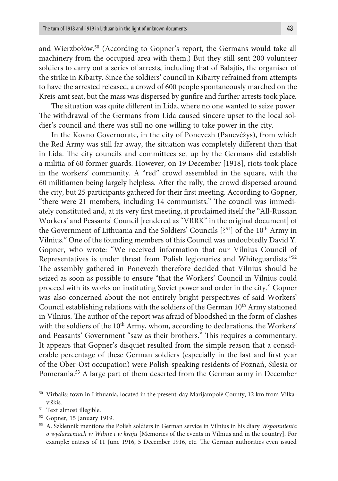and Wierzbołów.50 (According to Gopner's report, the Germans would take all machinery from the occupied area with them.) But they still sent 200 volunteer soldiers to carry out a series of arrests, including that of Balajtis, the organiser of the strike in Kibarty. Since the soldiers' council in Kibarty refrained from attempts to have the arrested released, a crowd of 600 people spontaneously marched on the Kreis-amt seat, but the mass was dispersed by gunfire and further arrests took place.

The situation was quite different in Lida, where no one wanted to seize power. The withdrawal of the Germans from Lida caused sincere upset to the local soldier's council and there was still no one willing to take power in the city.

In the Kovno Governorate, in the city of Ponevezh (Panevėžys), from which the Red Army was still far away, the situation was completely different than that in Lida. The city councils and committees set up by the Germans did establish a militia of 60 former guards. However, on 19 December [1918], riots took place in the workers' community. A "red" crowd assembled in the square, with the 60 militiamen being largely helpless. After the rally, the crowd dispersed around the city, but 25 participants gathered for their first meeting. According to Gopner, "there were 21 members, including 14 communists." The council was immediately constituted and, at its very first meeting, it proclaimed itself the "All-Russian Workers' and Peasants' Council [rendered as "VRRK" in the original document] of the Government of Lithuania and the Soldiers' Councils  $[351]$  of the 10<sup>th</sup> Army in Vilnius." One of the founding members of this Council was undoubtedly David Y. Gopner, who wrote: "We received information that our Vilnius Council of Representatives is under threat from Polish legionaries and Whiteguardists."52 The assembly gathered in Ponevezh therefore decided that Vilnius should be seized as soon as possible to ensure "that the Workers' Council in Vilnius could proceed with its works on instituting Soviet power and order in the city." Gopner was also concerned about the not entirely bright perspectives of said Workers' Council establishing relations with the soldiers of the German 10<sup>th</sup> Army stationed in Vilnius. The author of the report was afraid of bloodshed in the form of clashes with the soldiers of the 10<sup>th</sup> Army, whom, according to declarations, the Workers' and Peasants' Government "saw as their brothers." This requires a commentary. It appears that Gopner's disquiet resulted from the simple reason that a considerable percentage of these German soldiers (especially in the last and first year of the Ober-Ost occupation) were Polish-speaking residents of Poznań, Silesia or Pomerania.53 A large part of them deserted from the German army in December

<sup>50</sup> Virbalis: town in Lithuania, located in the present-day Marijampolė County, 12 km from Vilkaviškis.

<sup>51</sup> Text almost illegible.

<sup>52</sup> Gopner, 15 January 1919.

<sup>53</sup> A. Szklennik mentions the Polish soldiers in German service in Vilnius in his diary *Wspomnienia o wydarzeniach w Wilnie i w kraju* [Memories of the events in Vilnius and in the country]. For example: entries of 11 June 1916, 5 December 1916, etc. The German authorities even issued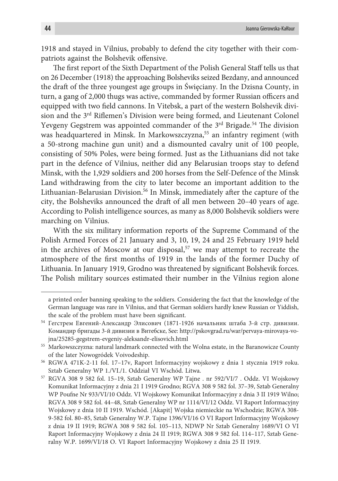1918 and stayed in Vilnius, probably to defend the city together with their compatriots against the Bolshevik offensive.

The first report of the Sixth Department of the Polish General Staff tells us that on 26 December (1918) the approaching Bolsheviks seized Bezdany, and announced the draft of the three youngest age groups in Święciany. In the Dzisna County, in turn, a gang of 2,000 thugs was active, commanded by former Russian officers and equipped with two field cannons. In Vitebsk, a part of the western Bolshevik division and the 3rd Riflemen's Division were being formed, and Lieutenant Colonel Yevgeny Gegstrem was appointed commander of the 3<sup>rd</sup> Brigade.<sup>54</sup> The division was headquartered in Minsk. In Markowszczyzna,<sup>55</sup> an infantry regiment (with a 50-strong machine gun unit) and a dismounted cavalry unit of 100 people, consisting of 50% Poles, were being formed. Just as the Lithuanians did not take part in the defence of Vilnius, neither did any Belarusian troops stay to defend Minsk, with the 1,929 soldiers and 200 horses from the Self-Defence of the Minsk Land withdrawing from the city to later become an important addition to the Lithuanian-Belarusian Division.<sup>56</sup> In Minsk, immediately after the capture of the city, the Bolsheviks announced the draft of all men between 20–40 years of age. According to Polish intelligence sources, as many as 8,000 Bolshevik soldiers were marching on Vilnius.

With the six military information reports of the Supreme Command of the Polish Armed Forces of 21 January and 3, 10, 19, 24 and 25 February 1919 held in the archives of Moscow at our disposal,<sup>57</sup> we may attempt to recreate the atmosphere of the first months of 1919 in the lands of the former Duchy of Lithuania. In January 1919, Grodno was threatened by significant Bolshevik forces. The Polish military sources estimated their number in the Vilnius region alone

a printed order banning speaking to the soldiers. Considering the fact that the knowledge of the German language was rare in Vilnius, and that German soldiers hardly knew Russian or Yiddish, the scale of the problem must have been significant.

<sup>54</sup> Гегстрем Евгений-Александр Элисович (1871-1926 начальник штаба 3-й стр. дивизии. Командир бригады 3-й дивизии в Витебске, See: http://pskovgrad.ru/war/pervaya-mirovaya-vojna/25285-gegstrem-evgeniy-aleksandr-elisovich.html

<sup>55</sup> Markowszczyzna: natural landmark connected with the Wolna estate, in the Baranowicze County of the later Nowogródek Voivodeship.

<sup>56</sup> RGWA 471K-2-11 fol. 17–17v, Raport Informacyjny wojskowy z dnia 1 stycznia 1919 roku. Sztab Generalny WP 1./VI./1. Oddział VI Wschód. Litwa.

<sup>57</sup> RGVA 308 9 582 fol. 15–19, Sztab Generalny WP Tajne . nr 592/VI/7 . Oddz. VI Wojskowy Komunikat Informacyjny z dnia 21 I 1919 Grodno; RGVA 308 9 582 fol. 37–39, Sztab Generalny WP Poufne Nr 933/VI/10 Oddz. VI Wojskowy Komunikat Informacyjny z dnia 3 II 1919 Wilno; RGVA 308 9 582 fol. 44–48, Sztab Generalny WP nr 1114/VI/12 Oddz. VI Raport Informacyjny Wojskowy z dnia 10 II 1919. Wschód. [Akapit] Wojska niemieckie na Wschodzie; RGWA 308- 9-582 fol. 80–85, Sztab Generalny W.P. Tajne 1396/VI/16 O VI Raport Informacyjny Wojskowy z dnia 19 II 1919; RGWA 308 9 582 fol. 105–113, NDWP Nr Sztab Generalny 1689/VI O VI Raport Informacyjny Wojskowy z dnia 24 II 1919; RGWA 308 9 582 fol. 114–117, Sztab Generalny W.P. 1699/VI/18 O. VI Raport Informacyjny Wojskowy z dnia 25 II 1919.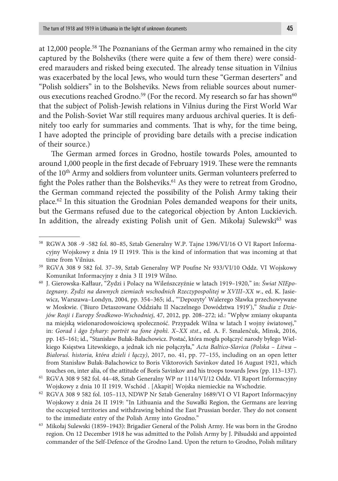at 12,000 people.58 The Poznanians of the German army who remained in the city captured by the Bolsheviks (there were quite a few of them there) were considered marauders and risked being executed. The already tense situation in Vilnius was exacerbated by the local Jews, who would turn these "German deserters" and "Polish soldiers" in to the Bolsheviks. News from reliable sources about numerous executions reached Grodno.<sup>59</sup> (For the record. My research so far has shown<sup>60</sup> that the subject of Polish-Jewish relations in Vilnius during the First World War and the Polish-Soviet War still requires many arduous archival queries. It is definitely too early for summaries and comments. That is why, for the time being, I have adopted the principle of providing bare details with a precise indication of their source.)

The German armed forces in Grodno, hostile towards Poles, amounted to around 1,000 people in the first decade of February 1919. These were the remnants of the 10th Army and soldiers from volunteer units. German volunteers preferred to fight the Poles rather than the Bolsheviks.<sup>61</sup> As they were to retreat from Grodno, the German command rejected the possibility of the Polish Army taking their place.62 In this situation the Grodnian Poles demanded weapons for their units, but the Germans refused due to the categorical objection by Anton Luckievich. In addition, the already existing Polish unit of Gen. Mikołaj Sulewski<sup>63</sup> was

<sup>58</sup> RGWA 308 -9 -582 fol. 80–85, Sztab Generalny W.P. Tajne 1396/VI/16 O VI Raport Informacyjny Wojskowy z dnia 19 II 1919. This is the kind of information that was incoming at that time from Vilnius.

<sup>59</sup> RGVA 308 9 582 fol. 37–39, Sztab Generalny WP Poufne Nr 933/VI/10 Oddz. VI Wojskowy Komunikat Informacyjny z dnia 3 II 1919 Wilno.

<sup>60</sup> J. Gierowska-Kałłaur, "Żydzi i Polacy na Wileńszczyźnie w latach 1919–1920," in: *Świat NIEpożegnany. Żydzi na dawnych ziemiach wschodnich Rzeczypospolitej w XVIII–XX w*., ed. K. Jasiewicz, Warszawa–Londyn, 2004, pp. 354–365; id., "'Depozyty' Walerego Sławka przechowywane w Moskwie. ('Biuro Detaszowane Oddziału II Naczelnego Dowództwa 1919')," *Studia z Dziejów Rosji i Europy Środkowo-Wschodniej*, 47, 2012, pp. 208–272; id.: "Wpływ zmiany okupanta na miejską wielonarodowościową społeczność. Przypadek Wilna w latach I wojny światowej," in: *Gorad ì âgo žyhary: portrèt na fone èpohì. X–XX stst*., ed. A. F. Smalenčuk, Mìnsk, 2016, pp. 145–161; id., "Stanisław Bułak-Bałachowicz. Postać, która mogła połączyć narody byłego Wielkiego Księstwa Litewskiego, a jednak ich nie połączyła," *Acta Baltico-Slavica (Polska – Litwa – Białoruś. historia, która dzieli i łączy)*, 2017, no. 41, pp. 77–155, including on an open letter from Stanisław Bułak-Bałachowicz to Boris Viktorovich Savinkov dated 16 August 1921, which touches on, inter alia, of the attitude of Boris Savinkov and his troops towards Jews (pp. 113–137).

<sup>61</sup> RGVA 308 9 582 fol. 44–48, Sztab Generalny WP nr 1114/VI/12 Oddz. VI Raport Informacyjny Wojskowy z dnia 10 II 1919. Wschód . [Akapit] Wojska niemieckie na Wschodzie.

<sup>62</sup> RGVA 308 9 582 fol. 105–113, NDWP Nr Sztab Generalny 1689/VI O VI Raport Informacyjny Wojskowy z dnia 24 II 1919: "In Lithuania and the Suwałki Region, the Germans are leaving the occupied territories and withdrawing behind the East Prussian border. They do not consent to the immediate entry of the Polish Army into Grodno."

<sup>63</sup> Mikołaj Sulewski (1859–1943): Brigadier General of the Polish Army. He was born in the Grodno region. On 12 December 1918 he was admitted to the Polish Army by J. Piłsudski and appointed commander of the Self-Defence of the Grodno Land. Upon the return to Grodno, Polish military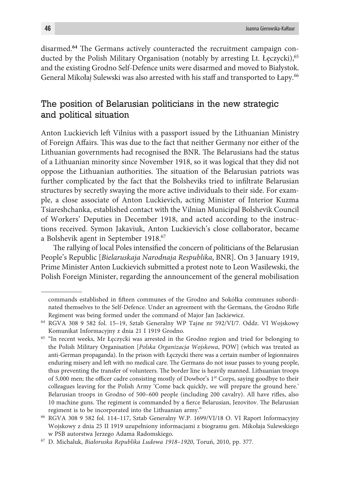disarmed.**<sup>64</sup>** The Germans actively counteracted the recruitment campaign conducted by the Polish Military Organisation (notably by arresting Lt. Łęczycki),<sup>65</sup> and the existing Grodno Self-Defence units were disarmed and moved to Białystok. General Mikołaj Sulewski was also arrested with his staff and transported to Łapy.<sup>66</sup>

# The position of Belarusian politicians in the new strategic and political situation

Anton Luckievich left Vilnius with a passport issued by the Lithuanian Ministry of Foreign Affairs. This was due to the fact that neither Germany nor either of the Lithuanian governments had recognised the BNR. The Belarusians had the status of a Lithuanian minority since November 1918, so it was logical that they did not oppose the Lithuanian authorities. The situation of the Belarusian patriots was further complicated by the fact that the Bolsheviks tried to infiltrate Belarusian structures by secretly swaying the more active individuals to their side. For example, a close associate of Anton Luckievich, acting Minister of Interior Kuzma Tsiareshchanka, established contact with the Vilnian Municipal Bolshevik Council of Workers' Deputies in December 1918, and acted according to the instructions received. Symon Jakaviuk, Anton Luckievich's close collaborator, became a Bolshevik agent in September 1918.67

The rallying of local Poles intensified the concern of politicians of the Belarusian People's Republic [*Bielaruskaja Narodnaja Respublika*, BNR]. On 3 January 1919, Prime Minister Anton Luckievich submitted a protest note to Leon Wasilewski, the Polish Foreign Minister, regarding the announcement of the general mobilisation

commands established in fifteen communes of the Grodno and Sokółka communes subordinated themselves to the Self-Defence. Under an agreement with the Germans, the Grodno Rifle Regiment was being formed under the command of Major Jan Jackiewicz.

<sup>64</sup> RGVA 308 9 582 fol. 15–19, Sztab Generalny WP Tajne nr 592/VI/7. Oddz. VI Wojskowy Komunikat Informacyjny z dnia 21 I 1919 Grodno.

<sup>65</sup> "In recent weeks, Mr Łęczycki was arrested in the Grodno region and tried for belonging to the Polish Military Organisation [*Polska Organizacja Wojskowa*, POW] (which was treated as anti-German propaganda). In the prison with Łęczycki there was a certain number of legionnaires enduring misery and left with no medical care. The Germans do not issue passes to young people, thus preventing the transfer of volunteers. The border line is heavily manned. Lithuanian troops of 5,000 men; the officer cadre consisting mostly of Dowbor's 1st Corps, saying goodbye to their colleagues leaving for the Polish Army 'Come back quickly, we will prepare the ground here.' Belarusian troops in Grodno of 500–600 people (including 200 cavalry). All have rifles, also 10 machine guns. The regiment is commanded by a fierce Belarusian, Jezovitov. The Belarusian regiment is to be incorporated into the Lithuanian army."

<sup>66</sup> RGVA 308 9 582 fol. 114–117, Sztab Generalny W.P. 1699/VI/18 O. VI Raport Informacyjny Wojskowy z dnia 25 II 1919 uzupełniony informacjami z biogramu gen. Mikołaja Sulewskiego w PSB autorstwa Jerzego Adama Radomskiego.

<sup>67</sup> D. Michaluk, *Białoruska Republika Ludowa 1918–1920*, Toruń, 2010, pp. 377.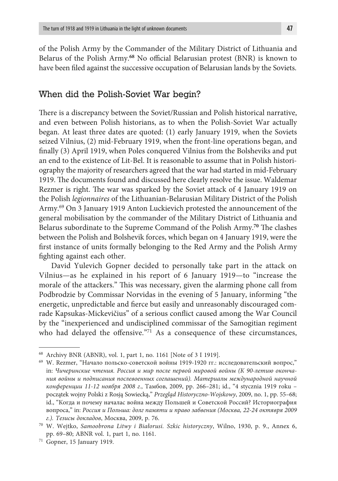of the Polish Army by the Commander of the Military District of Lithuania and Belarus of the Polish Army.**<sup>68</sup>** No official Belarusian protest (BNR) is known to have been filed against the successive occupation of Belarusian lands by the Soviets.

### When did the Polish-Soviet War begin?

There is a discrepancy between the Soviet/Russian and Polish historical narrative, and even between Polish historians, as to when the Polish-Soviet War actually began. At least three dates are quoted: (1) early January 1919, when the Soviets seized Vilnius, (2) mid-February 1919, when the front-line operations began, and finally (3) April 1919, when Poles conquered Vilnius from the Bolsheviks and put an end to the existence of Lit-Bel. It is reasonable to assume that in Polish historiography the majority of researchers agreed that the war had started in mid-February 1919. The documents found and discussed here clearly resolve the issue. Waldemar Rezmer is right. The war was sparked by the Soviet attack of 4 January 1919 on the Polish *legionnaires* of the Lithuanian-Belarusian Military District of the Polish Army.69 On 3 January 1919 Anton Luckievich protested the announcement of the general mobilisation by the commander of the Military District of Lithuania and Belarus subordinate to the Supreme Command of the Polish Army.**<sup>70</sup>** The clashes between the Polish and Bolshevik forces, which began on 4 January 1919, were the first instance of units formally belonging to the Red Army and the Polish Army fighting against each other.

David Yulevich Gopner decided to personally take part in the attack on Vilnius—as he explained in his report of 6 January 1919—to "increase the morale of the attackers." This was necessary, given the alarming phone call from Podbrodzie by Commissar Norvidas in the evening of 5 January, informing "the energetic, unpredictable and fierce but easily and unreasonably discouraged comrade Kapsukas-Mickevičius" of a serious conflict caused among the War Council by the "inexperienced and undisciplined commissar of the Samogitian regiment who had delayed the offensive."71 As a consequence of these circumstances,

<sup>68</sup> Archivy BNR (ABNR), vol. 1, part 1, no. 1161 [Note of 3 I 1919].

<sup>&</sup>lt;sup>69</sup> W. Rezmer, "Начало польско-советской войны 1919-1920 гг.: исследовательский вопрос," in: *Чичеринские чтения. Россия и мир после первой мировой войны (К 90-летию окончания войны и подписания послевоенных соглашений). Материалы международной научной конференции 11-12 ноября 2008 г.*, Тамбов, 2009, pp. 266–281; id., "4 stycznia 1919 roku – początek wojny Polski z Rosją Sowiecką," *Przegląd Historyczno-Wojskowy*, 2009, no. 1, pp. 55–68; id., "Когда и почему началас война между Польшей и Советской Россий? Историогрaфия вопроса," in: *Россия и Польша: долг памяти и право забвения (Mocквa, 22-24 октявря 2009 г.). Тезисы докладов*, Mocквa, 2009, p. 76.

<sup>70</sup> W. Wejtko, *Samoobrona Litwy i Białorusi. Szkic historyczny*, Wilno, 1930, p. 9., Annex 6, pp. 69–80; ABNR vol. 1, part 1, no. 1161.

<sup>71</sup> Gopner, 15 January 1919.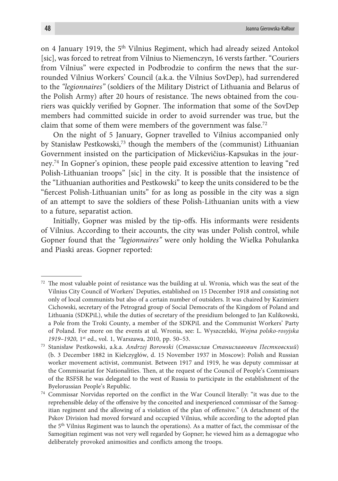on 4 January 1919, the 5<sup>th</sup> Vilnius Regiment, which had already seized Antokol [sic], was forced to retreat from Vilnius to Niemenczyn, 16 versts farther. "Couriers from Vilnius" were expected in Podbrodzie to confirm the news that the surrounded Vilnius Workers' Council (a.k.a. the Vilnius SovDep), had surrendered to the *"legionnaires"* (soldiers of the Military District of Lithuania and Belarus of the Polish Army) after 20 hours of resistance. The news obtained from the couriers was quickly verified by Gopner. The information that some of the SovDep members had committed suicide in order to avoid surrender was true, but the claim that some of them were members of the government was false.<sup>72</sup>

On the night of 5 January, Gopner travelled to Vilnius accompanied only by Stanisław Pestkowski,73 though the members of the (communist) Lithuanian Government insisted on the participation of Mickevičius-Kapsukas in the journey.74 In Gopner's opinion, these people paid excessive attention to leaving "red Polish-Lithuanian troops" [sic] in the city. It is possible that the insistence of the "Lithuanian authorities and Pestkowski" to keep the units considered to be the "fiercest Polish-Lithuanian units" for as long as possible in the city was a sign of an attempt to save the soldiers of these Polish-Lithuanian units with a view to a future, separatist action.

Initially, Gopner was misled by the tip-offs. His informants were residents of Vilnius. According to their accounts, the city was under Polish control, while Gopner found that the *"legionnaires"* were only holding the Wielka Pohulanka and Piaski areas. Gopner reported:

<sup>72</sup> The most valuable point of resistance was the building at ul. Wronia, which was the seat of the Vilnius City Council of Workers' Deputies, established on 15 December 1918 and consisting not only of local communists but also of a certain number of outsiders. It was chaired by Kazimierz Cichowski, secretary of the Petrograd group of Social Democrats of the Kingdom of Poland and Lithuania (SDKPiL), while the duties of secretary of the presidium belonged to Jan Kulikowski, a Pole from the Troki County, a member of the SDKPiL and the Communist Workers' Party of Poland. For more on the events at ul. Wronia, see: L. Wyszczelski, *Wojna polsko-rosyjska 1919–1920*, 1st ed., vol. 1, Warszawa, 2010, pp. 50–53.

<sup>73</sup> Stanisław Pestkowski, a.k.a. *Andrzej Borowski* (*Станислав Станиславович Пестковский*) (b. 3 December 1882 in Kiełczygłów, d. 15 November 1937 in Moscow): Polish and Russian worker movement activist, communist. Between 1917 and 1919, he was deputy commissar at the Commissariat for Nationalities. Then, at the request of the Council of People's Commissars of the RSFSR he was delegated to the west of Russia to participate in the establishment of the Byelorussian People's Republic.

<sup>74</sup> Commissar Norvidas reported on the conflict in the War Council literally: "it was due to the reprehensible delay of the offensive by the conceited and inexperienced commissar of the Samogitian regiment and the allowing of a violation of the plan of offensive." (A detachment of the Pskov Division had moved forward and occupied Vilnius, while according to the adopted plan the 5th Vilnius Regiment was to launch the operations). As a matter of fact, the commissar of the Samogitian regiment was not very well regarded by Gopner; he viewed him as a demagogue who deliberately provoked animosities and conflicts among the troops.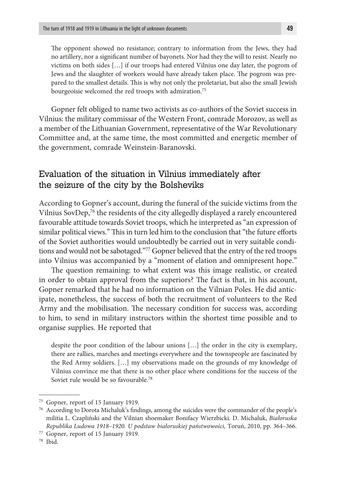The opponent showed no resistance; contrary to information from the Jews, they had no artillery, nor a significant number of bayonets. Nor had they the will to resist. Nearly no victims on both sides […] if our troops had entered Vilnius one day later, the pogrom of Jews and the slaughter of workers would have already taken place. The pogrom was prepared to the smallest details. This is why not only the proletariat, but also the small Jewish bourgeoisie welcomed the red troops with admiration.<sup>75</sup>

Gopner felt obliged to name two activists as co-authors of the Soviet success in Vilnius: the military commissar of the Western Front, comrade Morozov, as well as a member of the Lithuanian Government, representative of the War Revolutionary Committee and, at the same time, the most committed and energetic member of the government, comrade Weinstein-Baranovski.

# Evaluation of the situation in Vilnius immediately after the seizure of the city by the Bolsheviks

According to Gopner's account, during the funeral of the suicide victims from the Vilnius SovDep,76 the residents of the city allegedly displayed a rarely encountered favourable attitude towards Soviet troops, which he interpreted as "an expression of similar political views." This in turn led him to the conclusion that "the future efforts of the Soviet authorities would undoubtedly be carried out in very suitable conditions and would not be sabotaged."77 Gopner believed that the entry of the red troops into Vilnius was accompanied by a "moment of elation and omnipresent hope."

The question remaining: to what extent was this image realistic, or created in order to obtain approval from the superiors? The fact is that, in his account, Gopner remarked that he had no information on the Vilnian Poles. He did anticipate, nonetheless, the success of both the recruitment of volunteers to the Red Army and the mobilisation. The necessary condition for success was, according to him, to send in military instructors within the shortest time possible and to organise supplies. He reported that

despite the poor condition of the labour unions […] the order in the city is exemplary, there are rallies, marches and meetings everywhere and the townspeople are fascinated by the Red Army soldiers. […] my observations made on the grounds of my knowledge of Vilnius convince me that there is no other place where conditions for the success of the Soviet rule would be so favourable.<sup>78</sup>

<sup>75</sup> Gopner, report of 15 January 1919.

<sup>76</sup> According to Dorota Michaluk's findings, among the suicides were the commander of the people's militia L. Czapliński and the Vilnian shoemaker Bonifacy Wierzbicki. D. Michaluk, *Białoruska Republika Ludowa 1918–1920. U podstaw białoruskiej państwowości,* Toruń, 2010, pp. 364–366.

<sup>77</sup> Gopner, report of 15 January 1919.

<sup>78</sup> Ibid.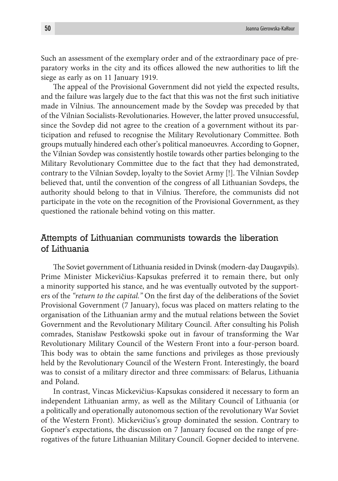Such an assessment of the exemplary order and of the extraordinary pace of preparatory works in the city and its offices allowed the new authorities to lift the siege as early as on 11 January 1919.

The appeal of the Provisional Government did not yield the expected results, and the failure was largely due to the fact that this was not the first such initiative made in Vilnius. The announcement made by the Sovdep was preceded by that of the Vilnian Socialists-Revolutionaries. However, the latter proved unsuccessful, since the Sovdep did not agree to the creation of a government without its participation and refused to recognise the Military Revolutionary Committee. Both groups mutually hindered each other's political manoeuvres. According to Gopner, the Vilnian Sovdep was consistently hostile towards other parties belonging to the Military Revolutionary Committee due to the fact that they had demonstrated, contrary to the Vilnian Sovdep, loyalty to the Soviet Army [!]. The Vilnian Sovdep believed that, until the convention of the congress of all Lithuanian Sovdeps, the authority should belong to that in Vilnius. Therefore, the communists did not participate in the vote on the recognition of the Provisional Government, as they questioned the rationale behind voting on this matter.

# Attempts of Lithuanian communists towards the liberation of Lithuania

The Soviet government of Lithuania resided in Dvinsk (modern-day Daugavpils). Prime Minister Mickevičius-Kapsukas preferred it to remain there, but only a minority supported his stance, and he was eventually outvoted by the supporters of the *"return to the capital."* On the first day of the deliberations of the Soviet Provisional Government (7 January), focus was placed on matters relating to the organisation of the Lithuanian army and the mutual relations between the Soviet Government and the Revolutionary Military Council. After consulting his Polish comrades, Stanisław Pestkowski spoke out in favour of transforming the War Revolutionary Military Council of the Western Front into a four-person board. This body was to obtain the same functions and privileges as those previously held by the Revolutionary Council of the Western Front. Interestingly, the board was to consist of a military director and three commissars: of Belarus, Lithuania and Poland.

In contrast, Vincas Mickevičius-Kapsukas considered it necessary to form an independent Lithuanian army, as well as the Military Council of Lithuania (or a politically and operationally autonomous section of the revolutionary War Soviet of the Western Front). Mickevičius's group dominated the session. Contrary to Gopner's expectations, the discussion on 7 January focused on the range of prerogatives of the future Lithuanian Military Council. Gopner decided to intervene.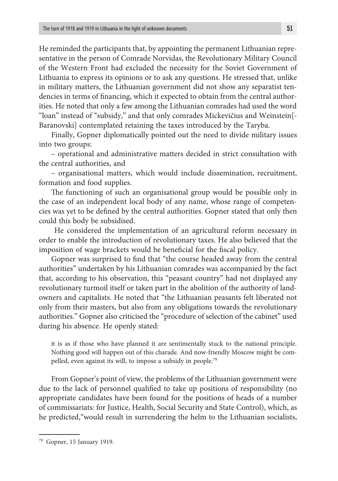He reminded the participants that, by appointing the permanent Lithuanian representative in the person of Comrade Norvidas, the Revolutionary Military Council of the Western Front had excluded the necessity for the Soviet Government of Lithuania to express its opinions or to ask any questions. He stressed that, unlike in military matters, the Lithuanian government did not show any separatist tendencies in terms of financing, which it expected to obtain from the central authorities. He noted that only a few among the Lithuanian comrades had used the word "loan" instead of "subsidy," and that only comrades Mickevičius and Weinstein[- Baranovski] contemplated retaining the taxes introduced by the Taryba.

Finally, Gopner diplomatically pointed out the need to divide military issues into two groups:

– operational and administrative matters decided in strict consultation with the central authorities, and

– organisational matters, which would include dissemination, recruitment, formation and food supplies.

The functioning of such an organisational group would be possible only in the case of an independent local body of any name, whose range of competencies was yet to be defined by the central authorities. Gopner stated that only then could this body be subsidised.

 He considered the implementation of an agricultural reform necessary in order to enable the introduction of revolutionary taxes. He also believed that the imposition of wage brackets would be beneficial for the fiscal policy.

Gopner was surprised to find that "the course headed away from the central authorities" undertaken by his Lithuanian comrades was accompanied by the fact that, according to his observation, this "peasant country" had not displayed any revolutionary turmoil itself or taken part in the abolition of the authority of landowners and capitalists. He noted that "the Lithuanian peasants felt liberated not only from their masters, but also from any obligations towards the revolutionary authorities." Gopner also criticised the "procedure of selection of the cabinet" used during his absence. He openly stated:

it is as if those who have planned it are sentimentally stuck to the national principle. Nothing good will happen out of this charade. And now-friendly Moscow might be compelled, even against its will, to impose a subsidy in people.79

From Gopner's point of view, the problems of the Lithuanian government were due to the lack of personnel qualified to take up positions of responsibility (no appropriate candidates have been found for the positions of heads of a number of commissariats: for Justice, Health, Social Security and State Control), which, as he predicted,"would result in surrendering the helm to the Lithuanian socialists,

<sup>79</sup> Gopner, 15 January 1919.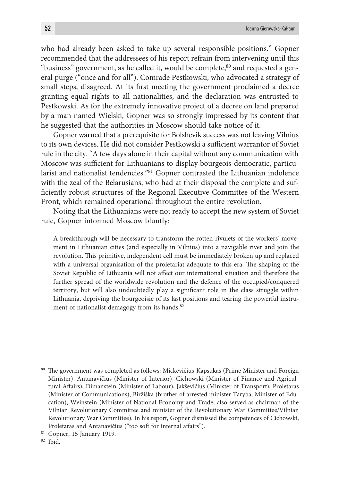who had already been asked to take up several responsible positions." Gopner recommended that the addressees of his report refrain from intervening until this "business" government, as he called it, would be complete, $^{80}$  and requested a general purge ("once and for all"). Comrade Pestkowski, who advocated a strategy of small steps, disagreed. At its first meeting the government proclaimed a decree granting equal rights to all nationalities, and the declaration was entrusted to Pestkowski. As for the extremely innovative project of a decree on land prepared by a man named Wielski, Gopner was so strongly impressed by its content that he suggested that the authorities in Moscow should take notice of it.

Gopner warned that a prerequisite for Bolshevik success was not leaving Vilnius to its own devices. He did not consider Pestkowski a sufficient warrantor of Soviet rule in the city. "A few days alone in their capital without any communication with Moscow was sufficient for Lithuanians to display bourgeois-democratic, particularist and nationalist tendencies."81 Gopner contrasted the Lithuanian indolence with the zeal of the Belarusians, who had at their disposal the complete and sufficiently robust structures of the Regional Executive Committee of the Western Front, which remained operational throughout the entire revolution.

Noting that the Lithuanians were not ready to accept the new system of Soviet rule, Gopner informed Moscow bluntly:

A breakthrough will be necessary to transform the rotten rivulets of the workers' movement in Lithuanian cities (and especially in Vilnius) into a navigable river and join the revolution. This primitive, independent cell must be immediately broken up and replaced with a universal organisation of the proletariat adequate to this era. The shaping of the Soviet Republic of Lithuania will not affect our international situation and therefore the further spread of the worldwide revolution and the defence of the occupied/conquered territory, but will also undoubtedly play a significant role in the class struggle within Lithuania, depriving the bourgeoisie of its last positions and tearing the powerful instrument of nationalist demagogy from its hands.<sup>82</sup>

<sup>80</sup> The government was completed as follows: Mickevičius-Kapsukas (Prime Minister and Foreign Minister), Antanavičius (Minister of Interior), Cichowski (Minister of Finance and Agricultural Affairs), Dimanstein (Minister of Labour), Jakševičius (Minister of Transport), Proletaras (Minister of Communications), Biržiška (brother of arrested minister Taryba, Minister of Education), Weinstein (Minister of National Economy and Trade, also served as chairman of the Vilnian Revolutionary Committee and minister of the Revolutionary War Committee/Vilnian Revolutionary War Committee). In his report, Gopner dismissed the competences of Cichowski, Proletaras and Antanavičius ("too soft for internal affairs"). 81 Gopner, 15 January 1919.

<sup>82</sup> Ibid.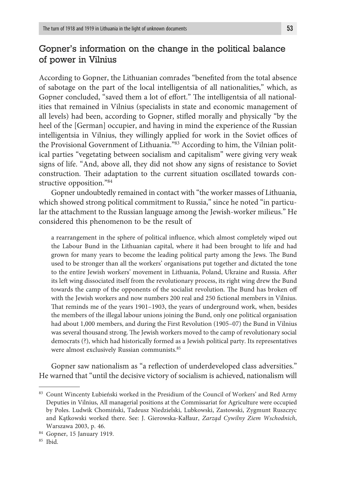# Gopner's information on the change in the political balance of power in Vilnius

According to Gopner, the Lithuanian comrades "benefited from the total absence of sabotage on the part of the local intelligentsia of all nationalities," which, as Gopner concluded, "saved them a lot of effort." The intelligentsia of all nationalities that remained in Vilnius (specialists in state and economic management of all levels) had been, according to Gopner, stifled morally and physically "by the heel of the [German] occupier, and having in mind the experience of the Russian intelligentsia in Vilnius, they willingly applied for work in the Soviet offices of the Provisional Government of Lithuania."83 According to him, the Vilnian political parties "vegetating between socialism and capitalism" were giving very weak signs of life. "And, above all, they did not show any signs of resistance to Soviet construction. Their adaptation to the current situation oscillated towards constructive opposition."84

Gopner undoubtedly remained in contact with "the worker masses of Lithuania, which showed strong political commitment to Russia," since he noted "in particular the attachment to the Russian language among the Jewish-worker milieus." He considered this phenomenon to be the result of

a rearrangement in the sphere of political influence, which almost completely wiped out the Labour Bund in the Lithuanian capital, where it had been brought to life and had grown for many years to become the leading political party among the Jews. The Bund used to be stronger than all the workers' organisations put together and dictated the tone to the entire Jewish workers' movement in Lithuania, Poland, Ukraine and Russia. After its left wing dissociated itself from the revolutionary process, its right wing drew the Bund towards the camp of the opponents of the socialist revolution. The Bund has broken off with the Jewish workers and now numbers 200 real and 250 fictional members in Vilnius. That reminds me of the years 1901–1903, the years of underground work, when, besides the members of the illegal labour unions joining the Bund, only one political organisation had about 1,000 members, and during the First Revolution (1905–07) the Bund in Vilnius was several thousand strong. The Jewish workers moved to the camp of revolutionary social democrats (?), which had historically formed as a Jewish political party. Its representatives were almost exclusively Russian communists.85

Gopner saw nationalism as "a reflection of underdeveloped class adversities." He warned that "until the decisive victory of socialism is achieved, nationalism will

<sup>83</sup> Count Wincenty Łubieński worked in the Presidium of the Council of Workers' and Red Army Deputies in Vilnius, All managerial positions at the Commissariat for Agriculture were occupied by Poles. Ludwik Chomiński, Tadeusz Niedzielski, Lubkowski, Zastowski, Zygmunt Ruszczyc and Kątkowski worked there. See: J. Gierowska-Kałłaur, *Zarząd Cywilny Ziem Wschodnich*, Warszawa 2003, p. 46.

<sup>84</sup> Gopner, 15 January 1919.

<sup>85</sup> Ibid.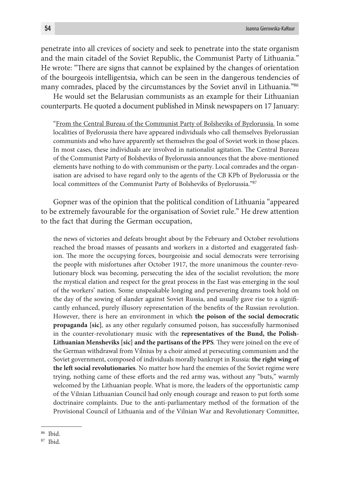penetrate into all crevices of society and seek to penetrate into the state organism and the main citadel of the Soviet Republic, the Communist Party of Lithuania." He wrote: "There are signs that cannot be explained by the changes of orientation of the bourgeois intelligentsia, which can be seen in the dangerous tendencies of many comrades, placed by the circumstances by the Soviet anvil in Lithuania."86

He would set the Belarusian communists as an example for their Lithuanian counterparts. He quoted a document published in Minsk newspapers on 17 January:

"From the Central Bureau of the Communist Party of Bolsheviks of Byelorussia. In some localities of Byelorussia there have appeared individuals who call themselves Byelorussian communists and who have apparently set themselves the goal of Soviet work in those places. In most cases, these individuals are involved in nationalist agitation. The Central Bureau of the Communist Party of Bolsheviks of Byelorussia announces that the above-mentioned elements have nothing to do with communism or the party. Local comrades and the organisation are advised to have regard only to the agents of the CB KPb of Byelorussia or the local committees of the Communist Party of Bolsheviks of Byelorussia."87

Gopner was of the opinion that the political condition of Lithuania "appeared to be extremely favourable for the organisation of Soviet rule." He drew attention to the fact that during the German occupation,

the news of victories and defeats brought about by the February and October revolutions reached the broad masses of peasants and workers in a distorted and exaggerated fashion. The more the occupying forces, bourgeoisie and social democrats were terrorising the people with misfortunes after October 1917, the more unanimous the counter-revolutionary block was becoming, persecuting the idea of the socialist revolution; the more the mystical elation and respect for the great process in the East was emerging in the soul of the workers' nation. Some unspeakable longing and persevering dreams took hold on the day of the sowing of slander against Soviet Russia, and usually gave rise to a significantly enhanced, purely illusory representation of the benefits of the Russian revolution. However, there is here an environment in which **the poison of the social democratic propaganda [sic]***,* as any other regularly consumed poison, has successfully harmonised in the counter-revolutionary music with the **representatives of the Bund, the Polish-Lithuanian Mensheviks [sic] and the partisans of the PPS***.* They were joined on the eve of the German withdrawal from Vilnius by a choir aimed at persecuting communism and the Soviet government, composed of individuals morally bankrupt in Russia: **the right wing of the left social revolutionaries***.* No matter how hard the enemies of the Soviet regime were trying, nothing came of these efforts and the red army was, without any "buts," warmly welcomed by the Lithuanian people. What is more, the leaders of the opportunistic camp of the Vilnian Lithuanian Council had only enough courage and reason to put forth some doctrinaire complaints. Due to the anti-parliamentary method of the formation of the Provisional Council of Lithuania and of the Vilnian War and Revolutionary Committee,

<sup>86</sup> Ibid.

<sup>87</sup> Ibid.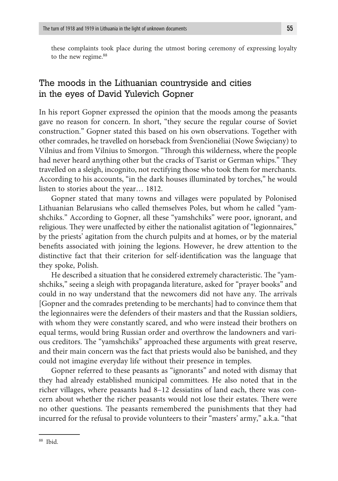these complaints took place during the utmost boring ceremony of expressing loyalty to the new regime.<sup>88</sup>

# The moods in the Lithuanian countryside and cities in the eyes of David Yulevich Gopner

In his report Gopner expressed the opinion that the moods among the peasants gave no reason for concern. In short, "they secure the regular course of Soviet construction." Gopner stated this based on his own observations. Together with other comrades, he travelled on horseback from Švenčionėliai (Nowe Święciany) to Vilnius and from Vilnius to Smorgon. "Through this wilderness, where the people had never heard anything other but the cracks of Tsarist or German whips." They travelled on a sleigh, incognito, not rectifying those who took them for merchants. According to his accounts, "in the dark houses illuminated by torches," he would listen to stories about the year… 1812.

Gopner stated that many towns and villages were populated by Polonised Lithuanian Belarusians who called themselves Poles, but whom he called "yamshchiks." According to Gopner, all these "yamshchiks" were poor, ignorant, and religious. They were unaffected by either the nationalist agitation of "legionnaires," by the priests' agitation from the church pulpits and at homes, or by the material benefits associated with joining the legions. However, he drew attention to the distinctive fact that their criterion for self-identification was the language that they spoke, Polish.

He described a situation that he considered extremely characteristic. The "yamshchiks," seeing a sleigh with propaganda literature, asked for "prayer books" and could in no way understand that the newcomers did not have any. The arrivals [Gopner and the comrades pretending to be merchants] had to convince them that the legionnaires were the defenders of their masters and that the Russian soldiers, with whom they were constantly scared, and who were instead their brothers on equal terms, would bring Russian order and overthrow the landowners and various creditors. The "yamshchiks" approached these arguments with great reserve, and their main concern was the fact that priests would also be banished, and they could not imagine everyday life without their presence in temples.

Gopner referred to these peasants as "ignorants" and noted with dismay that they had already established municipal committees. He also noted that in the richer villages, where peasants had 8–12 dessiatins of land each, there was concern about whether the richer peasants would not lose their estates. There were no other questions. The peasants remembered the punishments that they had incurred for the refusal to provide volunteers to their "masters' army," a.k.a. "that

<sup>88</sup> Ibid.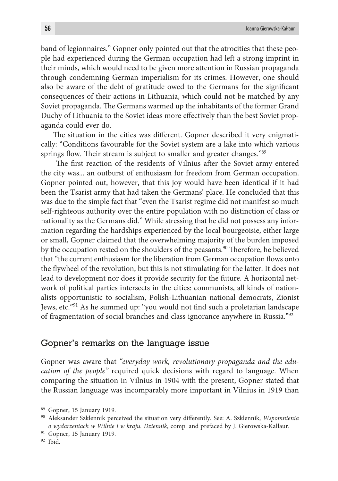band of legionnaires." Gopner only pointed out that the atrocities that these people had experienced during the German occupation had left a strong imprint in their minds, which would need to be given more attention in Russian propaganda through condemning German imperialism for its crimes. However, one should also be aware of the debt of gratitude owed to the Germans for the significant consequences of their actions in Lithuania, which could not be matched by any Soviet propaganda. The Germans warmed up the inhabitants of the former Grand Duchy of Lithuania to the Soviet ideas more effectively than the best Soviet propaganda could ever do.

The situation in the cities was different. Gopner described it very enigmatically: "Conditions favourable for the Soviet system are a lake into which various springs flow. Their stream is subject to smaller and greater changes."89

 The first reaction of the residents of Vilnius after the Soviet army entered the city was... an outburst of enthusiasm for freedom from German occupation. Gopner pointed out, however, that this joy would have been identical if it had been the Tsarist army that had taken the Germans' place. He concluded that this was due to the simple fact that "even the Tsarist regime did not manifest so much self-righteous authority over the entire population with no distinction of class or nationality as the Germans did." While stressing that he did not possess any information regarding the hardships experienced by the local bourgeoisie, either large or small, Gopner claimed that the overwhelming majority of the burden imposed by the occupation rested on the shoulders of the peasants.<sup>90</sup> Therefore, he believed that "the current enthusiasm for the liberation from German occupation flows onto the flywheel of the revolution, but this is not stimulating for the latter. It does not lead to development nor does it provide security for the future. A horizontal network of political parties intersects in the cities: communists, all kinds of nationalists opportunistic to socialism, Polish-Lithuanian national democrats, Zionist Jews, etc."91 As he summed up: "you would not find such a proletarian landscape of fragmentation of social branches and class ignorance anywhere in Russia."92

#### Gopner's remarks on the language issue

Gopner was aware that *"everyday work, revolutionary propaganda and the education of the people"* required quick decisions with regard to language. When comparing the situation in Vilnius in 1904 with the present, Gopner stated that the Russian language was incomparably more important in Vilnius in 1919 than

<sup>89</sup> Gopner, 15 January 1919.

<sup>90</sup> Aleksander Szklennik perceived the situation very differently. See: A. Szklennik, *Wspomnienia o wydarzeniach w Wilnie i w kraju. Dziennik*, comp. and prefaced by J. Gierowska-Kałłaur.

<sup>&</sup>lt;sup>91</sup> Gopner, 15 January 1919.

<sup>92</sup> Ibid.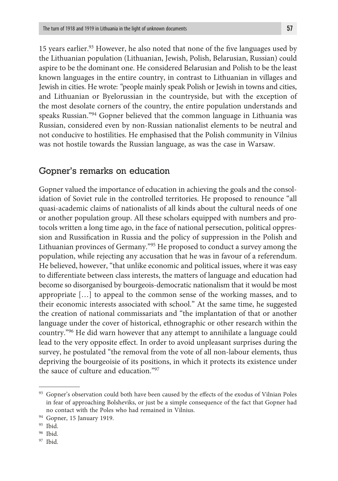15 years earlier.<sup>93</sup> However, he also noted that none of the five languages used by the Lithuanian population (Lithuanian, Jewish, Polish, Belarusian, Russian) could aspire to be the dominant one. He considered Belarusian and Polish to be the least known languages in the entire country, in contrast to Lithuanian in villages and Jewish in cities. He wrote: *"*people mainly speak Polish or Jewish in towns and cities, and Lithuanian or Byelorussian in the countryside, but with the exception of the most desolate corners of the country, the entire population understands and speaks Russian."94 Gopner believed that the common language in Lithuania was Russian, considered even by non-Russian nationalist elements to be neutral and not conducive to hostilities. He emphasised that the Polish community in Vilnius was not hostile towards the Russian language, as was the case in Warsaw.

### Gopner's remarks on education

Gopner valued the importance of education in achieving the goals and the consolidation of Soviet rule in the controlled territories. He proposed to renounce "all quasi-academic claims of nationalists of all kinds about the cultural needs of one or another population group. All these scholars equipped with numbers and protocols written a long time ago, in the face of national persecution, political oppression and Russification in Russia and the policy of suppression in the Polish and Lithuanian provinces of Germany."95 He proposed to conduct a survey among the population, while rejecting any accusation that he was in favour of a referendum. He believed, however, "that unlike economic and political issues, where it was easy to differentiate between class interests, the matters of language and education had become so disorganised by bourgeois-democratic nationalism that it would be most appropriate […] to appeal to the common sense of the working masses, and to their economic interests associated with school." At the same time, he suggested the creation of national commissariats and "the implantation of that or another language under the cover of historical, ethnographic or other research within the country."96 He did warn however that any attempt to annihilate a language could lead to the very opposite effect. In order to avoid unpleasant surprises during the survey, he postulated "the removal from the vote of all non-labour elements, thus depriving the bourgeoisie of its positions, in which it protects its existence under the sauce of culture and education."97

<sup>93</sup> Gopner's observation could both have been caused by the effects of the exodus of Vilnian Poles in fear of approaching Bolsheviks, or just be a simple consequence of the fact that Gopner had no contact with the Poles who had remained in Vilnius.

<sup>94</sup> Gopner, 15 January 1919.

<sup>95</sup> Ibid.

<sup>96</sup> Ibid.

<sup>97</sup> Ibid.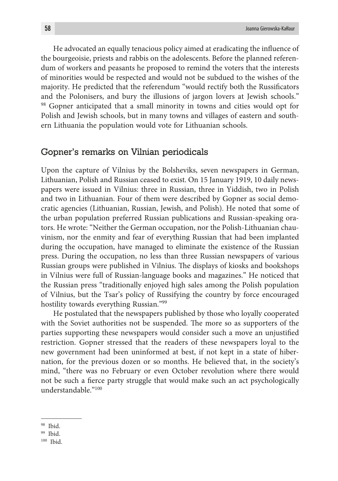He advocated an equally tenacious policy aimed at eradicating the influence of the bourgeoisie, priests and rabbis on the adolescents. Before the planned referendum of workers and peasants he proposed to remind the voters that the interests of minorities would be respected and would not be subdued to the wishes of the majority. He predicted that the referendum "would rectify both the Russificators and the Polonisers, and bury the illusions of jargon lovers at Jewish schools." <sup>98</sup> Gopner anticipated that a small minority in towns and cities would opt for Polish and Jewish schools, but in many towns and villages of eastern and southern Lithuania the population would vote for Lithuanian schools.

#### Gopner's remarks on Vilnian periodicals

Upon the capture of Vilnius by the Bolsheviks, seven newspapers in German, Lithuanian, Polish and Russian ceased to exist. On 15 January 1919, 10 daily newspapers were issued in Vilnius: three in Russian, three in Yiddish, two in Polish and two in Lithuanian. Four of them were described by Gopner as social democratic agencies (Lithuanian, Russian, Jewish, and Polish). He noted that some of the urban population preferred Russian publications and Russian-speaking orators. He wrote: "Neither the German occupation, nor the Polish-Lithuanian chauvinism, nor the enmity and fear of everything Russian that had been implanted during the occupation, have managed to eliminate the existence of the Russian press. During the occupation, no less than three Russian newspapers of various Russian groups were published in Vilnius. The displays of kiosks and bookshops in Vilnius were full of Russian-language books and magazines." He noticed that the Russian press "traditionally enjoyed high sales among the Polish population of Vilnius, but the Tsar's policy of Russifying the country by force encouraged hostility towards everything Russian."99

He postulated that the newspapers published by those who loyally cooperated with the Soviet authorities not be suspended. The more so as supporters of the parties supporting these newspapers would consider such a move an unjustified restriction. Gopner stressed that the readers of these newspapers loyal to the new government had been uninformed at best, if not kept in a state of hibernation, for the previous dozen or so months. He believed that, in the society's mind, "there was no February or even October revolution where there would not be such a fierce party struggle that would make such an act psychologically understandable."100

<sup>98</sup> Ibid.

<sup>99</sup> Ibid.

<sup>100</sup> Ibid.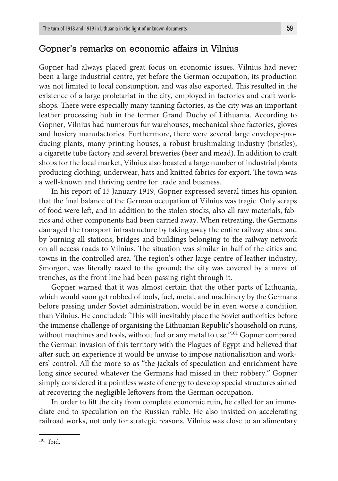### Gopner's remarks on economic affairs in Vilnius

Gopner had always placed great focus on economic issues. Vilnius had never been a large industrial centre, yet before the German occupation, its production was not limited to local consumption, and was also exported. This resulted in the existence of a large proletariat in the city, employed in factories and craft workshops. There were especially many tanning factories, as the city was an important leather processing hub in the former Grand Duchy of Lithuania. According to Gopner, Vilnius had numerous fur warehouses, mechanical shoe factories, gloves and hosiery manufactories. Furthermore, there were several large envelope-producing plants, many printing houses, a robust brushmaking industry (bristles), a cigarette tube factory and several breweries (beer and mead). In addition to craft shops for the local market, Vilnius also boasted a large number of industrial plants producing clothing, underwear, hats and knitted fabrics for export. The town was a well-known and thriving centre for trade and business.

In his report of 15 January 1919, Gopner expressed several times his opinion that the final balance of the German occupation of Vilnius was tragic. Only scraps of food were left, and in addition to the stolen stocks, also all raw materials, fabrics and other components had been carried away. When retreating, the Germans damaged the transport infrastructure by taking away the entire railway stock and by burning all stations, bridges and buildings belonging to the railway network on all access roads to Vilnius. The situation was similar in half of the cities and towns in the controlled area. The region's other large centre of leather industry, Smorgon, was literally razed to the ground; the city was covered by a maze of trenches, as the front line had been passing right through it.

Gopner warned that it was almost certain that the other parts of Lithuania, which would soon get robbed of tools, fuel, metal, and machinery by the Germans before passing under Soviet administration, would be in even worse a condition than Vilnius. He concluded: "This will inevitably place the Soviet authorities before the immense challenge of organising the Lithuanian Republic's household on ruins, without machines and tools, without fuel or any metal to use."<sup>101</sup> Gopner compared the German invasion of this territory with the Plagues of Egypt and believed that after such an experience it would be unwise to impose nationalisation and workers' control. All the more so as "the jackals of speculation and enrichment have long since secured whatever the Germans had missed in their robbery." Gopner simply considered it a pointless waste of energy to develop special structures aimed at recovering the negligible leftovers from the German occupation.

In order to lift the city from complete economic ruin, he called for an immediate end to speculation on the Russian ruble. He also insisted on accelerating railroad works, not only for strategic reasons. Vilnius was close to an alimentary

<sup>101</sup> Ibid.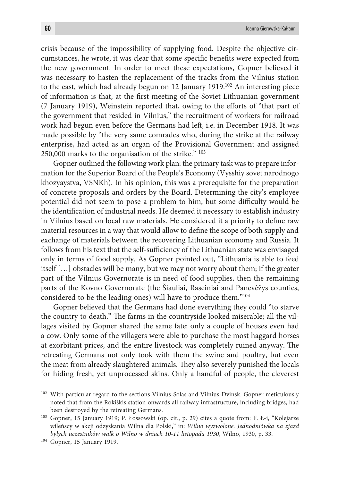crisis because of the impossibility of supplying food. Despite the objective circumstances, he wrote, it was clear that some specific benefits were expected from the new government. In order to meet these expectations, Gopner believed it was necessary to hasten the replacement of the tracks from the Vilnius station to the east, which had already begun on 12 January 1919.102 An interesting piece of information is that, at the first meeting of the Soviet Lithuanian government (7 January 1919), Weinstein reported that, owing to the efforts of "that part of the government that resided in Vilnius," the recruitment of workers for railroad work had begun even before the Germans had left, i.e. in December 1918. It was made possible by "the very same comrades who, during the strike at the railway enterprise, had acted as an organ of the Provisional Government and assigned 250,000 marks to the organisation of the strike." 103

Gopner outlined the following work plan: the primary task was to prepare information for the Superior Board of the People's Economy (Vysshiy sovet narodnogo khozyaystva, VSNKh). In his opinion, this was a prerequisite for the preparation of concrete proposals and orders by the Board. Determining the city's employee potential did not seem to pose a problem to him, but some difficulty would be the identification of industrial needs. He deemed it necessary to establish industry in Vilnius based on local raw materials. He considered it a priority to define raw material resources in a way that would allow to define the scope of both supply and exchange of materials between the recovering Lithuanian economy and Russia. It follows from his text that the self-sufficiency of the Lithuanian state was envisaged only in terms of food supply. As Gopner pointed out, "Lithuania is able to feed itself […] obstacles will be many, but we may not worry about them; if the greater part of the Vilnius Governorate is in need of food supplies, then the remaining parts of the Kovno Governorate (the Šiauliai, Raseiniai and Panevėžys counties, considered to be the leading ones) will have to produce them."104

Gopner believed that the Germans had done everything they could "to starve the country to death." The farms in the countryside looked miserable; all the villages visited by Gopner shared the same fate: only a couple of houses even had a cow. Only some of the villagers were able to purchase the most haggard horses at exorbitant prices, and the entire livestock was completely ruined anyway. The retreating Germans not only took with them the swine and poultry, but even the meat from already slaughtered animals. They also severely punished the locals for hiding fresh, yet unprocessed skins. Only a handful of people, the cleverest

<sup>&</sup>lt;sup>102</sup> With particular regard to the sections Vilnius-Solas and Vilnius-Dvinsk. Gopner meticulously noted that from the Rokiškis station onwards all railway infrastructure, including bridges, had been destroyed by the retreating Germans.<br><sup>103</sup> Gopner, 15 January 1919; P. Łossowski (op. cit., p. 29) cites a quote from: F. Ł-i, "Kolejarze

wileńscy w akcji odzyskania Wilna dla Polski," in: *Wilno wyzwolone. Jednodniówka na zjazd byłych uczestników walk o Wilno w dniach 10-11 listopada 1930*, Wilno, 1930, p. 33.

<sup>104</sup> Gopner, 15 January 1919.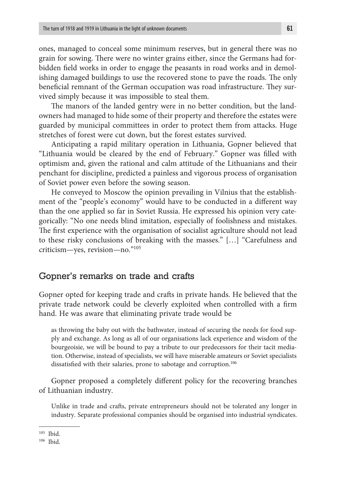ones, managed to conceal some minimum reserves, but in general there was no grain for sowing. There were no winter grains either, since the Germans had forbidden field works in order to engage the peasants in road works and in demolishing damaged buildings to use the recovered stone to pave the roads. The only beneficial remnant of the German occupation was road infrastructure. They survived simply because it was impossible to steal them.

The manors of the landed gentry were in no better condition, but the landowners had managed to hide some of their property and therefore the estates were guarded by municipal committees in order to protect them from attacks. Huge stretches of forest were cut down, but the forest estates survived.

Anticipating a rapid military operation in Lithuania, Gopner believed that "Lithuania would be cleared by the end of February." Gopner was filled with optimism and, given the rational and calm attitude of the Lithuanians and their penchant for discipline, predicted a painless and vigorous process of organisation of Soviet power even before the sowing season.

He conveyed to Moscow the opinion prevailing in Vilnius that the establishment of the "people's economy" would have to be conducted in a different way than the one applied so far in Soviet Russia. He expressed his opinion very categorically: "No one needs blind imitation, especially of foolishness and mistakes. The first experience with the organisation of socialist agriculture should not lead to these risky conclusions of breaking with the masses." […] "Carefulness and criticism—yes, revision—no."105

#### Gopner's remarks on trade and crafts

Gopner opted for keeping trade and crafts in private hands. He believed that the private trade network could be cleverly exploited when controlled with a firm hand. He was aware that eliminating private trade would be

as throwing the baby out with the bathwater, instead of securing the needs for food supply and exchange. As long as all of our organisations lack experience and wisdom of the bourgeoisie, we will be bound to pay a tribute to our predecessors for their tacit mediation. Otherwise, instead of specialists, we will have miserable amateurs or Soviet specialists dissatisfied with their salaries, prone to sabotage and corruption.<sup>106</sup>

Gopner proposed a completely different policy for the recovering branches of Lithuanian industry.

Unlike in trade and crafts, private entrepreneurs should not be tolerated any longer in industry. Separate professional companies should be organised into industrial syndicates.

<sup>105</sup> Ibid.

<sup>106</sup> Ibid.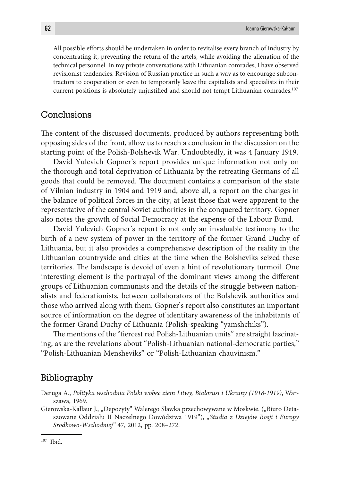All possible efforts should be undertaken in order to revitalise every branch of industry by concentrating it, preventing the return of the artels, while avoiding the alienation of the technical personnel. In my private conversations with Lithuanian comrades, I have observed revisionist tendencies. Revision of Russian practice in such a way as to encourage subcontractors to cooperation or even to temporarily leave the capitalists and specialists in their current positions is absolutely unjustified and should not tempt Lithuanian comrades.<sup>107</sup>

### **Conclusions**

The content of the discussed documents, produced by authors representing both opposing sides of the front, allow us to reach a conclusion in the discussion on the starting point of the Polish-Bolshevik War. Undoubtedly, it was 4 January 1919.

David Yulevich Gopner's report provides unique information not only on the thorough and total deprivation of Lithuania by the retreating Germans of all goods that could be removed. The document contains a comparison of the state of Vilnian industry in 1904 and 1919 and, above all, a report on the changes in the balance of political forces in the city, at least those that were apparent to the representative of the central Soviet authorities in the conquered territory. Gopner also notes the growth of Social Democracy at the expense of the Labour Bund.

David Yulevich Gopner's report is not only an invaluable testimony to the birth of a new system of power in the territory of the former Grand Duchy of Lithuania, but it also provides a comprehensive description of the reality in the Lithuanian countryside and cities at the time when the Bolsheviks seized these territories. The landscape is devoid of even a hint of revolutionary turmoil. One interesting element is the portrayal of the dominant views among the different groups of Lithuanian communists and the details of the struggle between nationalists and federationists, between collaborators of the Bolshevik authorities and those who arrived along with them. Gopner's report also constitutes an important source of information on the degree of identitary awareness of the inhabitants of the former Grand Duchy of Lithuania (Polish-speaking "yamshchiks").

The mentions of the "fiercest red Polish-Lithuanian units" are straight fascinating, as are the revelations about "Polish-Lithuanian national-democratic parties," "Polish-Lithuanian Mensheviks" or "Polish-Lithuanian chauvinism."

### Bibliography

<sup>107</sup> Ibid.

Deruga A., *Polityka wschodnia Polski wobec ziem Litwy, Białorusi i Ukrainy (1918-1919)*, Warszawa, 1969.

Gierowska-Kałłaur J., "Depozyty" Walerego Sławka przechowywane w Moskwie. ("Biuro Detaszowane Oddziału II Naczelnego Dowództwa 1919"), *"Studia z Dziejów Rosji i Europy Środkowo-Wschodniej"* 47, 2012, pp. 208–272.